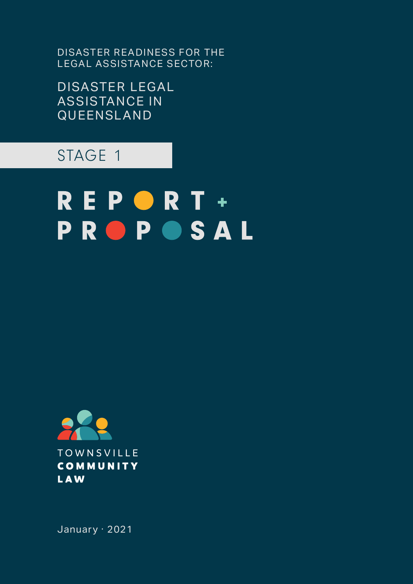DISASTER READINESS FOR THE LEGAL ASSISTANCE SECTOR:

DISASTER LEGAL AS SISTANCE IN QUEENSLAND

# STAGE 1

# REPORT+ **PROPOSAL**



January · 2021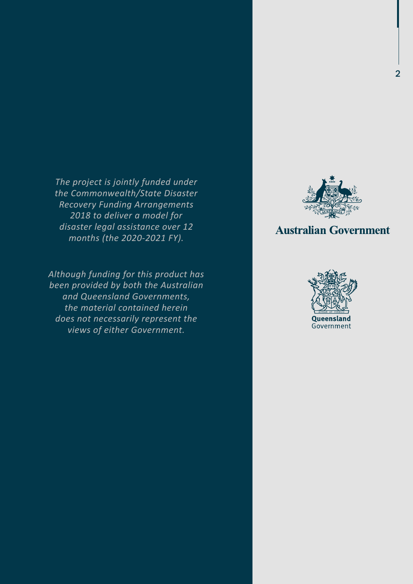*The project is jointly funded under the Commonwealth/State Disaster Recovery Funding Arrangements 2018 to deliver a model for disaster legal assistance over 12 months (the 2020-2021 FY).*

*Although funding for this product has been provided by both the Australian and Queensland Governments, the material contained herein does not necessarily represent the views of either Government.*



### **Australian Government**

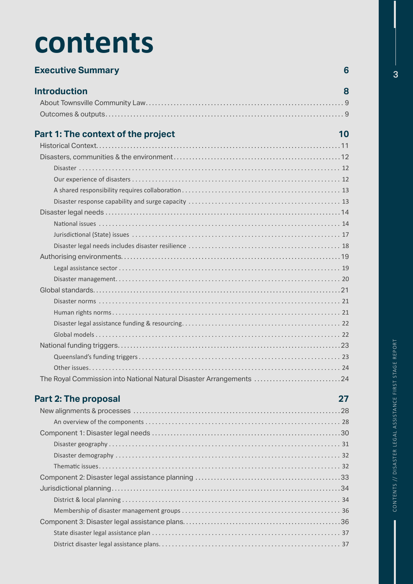# **contents**

| <b>Executive Summary</b>                                            | 6  |
|---------------------------------------------------------------------|----|
| <b>Introduction</b>                                                 | 8  |
|                                                                     |    |
|                                                                     |    |
| Part 1: The context of the project                                  | 10 |
|                                                                     |    |
|                                                                     |    |
|                                                                     |    |
|                                                                     |    |
|                                                                     |    |
|                                                                     |    |
|                                                                     |    |
|                                                                     |    |
|                                                                     |    |
|                                                                     |    |
|                                                                     |    |
|                                                                     |    |
|                                                                     |    |
|                                                                     |    |
|                                                                     |    |
|                                                                     |    |
|                                                                     |    |
|                                                                     |    |
|                                                                     |    |
|                                                                     |    |
|                                                                     |    |
| The Royal Commission into National Natural Disaster Arrangements 24 |    |

### **Part 2: The proposal 27**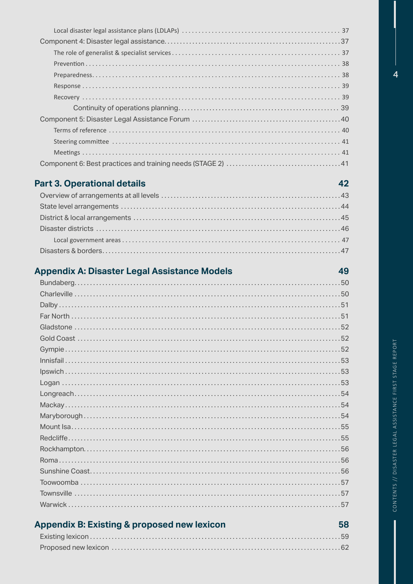### Part 3. Operational details

### Appendix A: Disaster Legal Assistance Models

| <b>Appendix B: Existing &amp; proposed new lexicon</b> | 58 |
|--------------------------------------------------------|----|
|                                                        |    |
|                                                        |    |

 $\overline{\mathbf{A}}$ 

42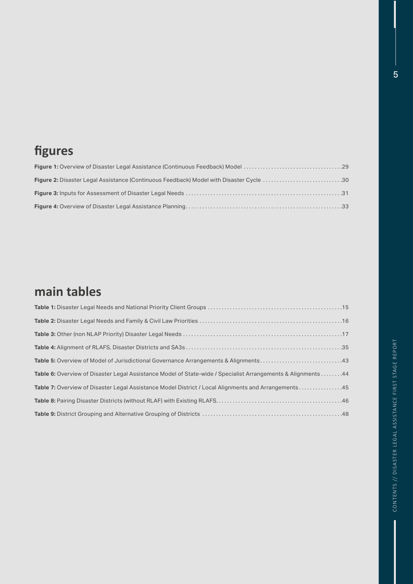# **fgures**

# **main tables**

| Table 6: Overview of Disaster Legal Assistance Model of State-wide / Specialist Arrangements & Alignments 44 |
|--------------------------------------------------------------------------------------------------------------|
| Table 7: Overview of Disaster Legal Assistance Model District / Local Alignments and Arrangements45          |
|                                                                                                              |
|                                                                                                              |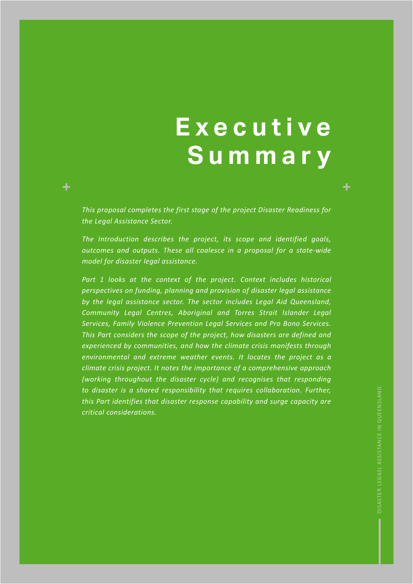# **E x e c u t i v e Summary**

*This proposal completes the first stage of the project Disaster Readiness for the Legal Assistance Sector.* 

 $\ddot{}$ 

*The Introduction describes the project, its scope and identified goals, outcomes and outputs. These all coalesce in a proposal for a state-wide model for disaster legal assistance.*

Part 1 looks at the context of the project. Context includes historical *perspectives on funding, planning and provision of disaster legal assistance by the legal assistance sector. The sector includes Legal Aid Queensland, Community Legal Centres, Aboriginal and Torres Strait Islander Legal Services, Family Violence Prevention Legal Services and Pro Bono Services. This Part considers the scope of the project, how disasters are defined and experienced by communities, and how the climate crisis manifests through environmental and extreme weather events. It locates the project as a climate crisis project. It notes the importance of a comprehensive approach (working throughout the disaster cycle) and recognises that responding to disaster is a shared responsibility that requires collaboration. Further, this Part identifies that disaster response capability and surge capacity are critical considerations.* 

÷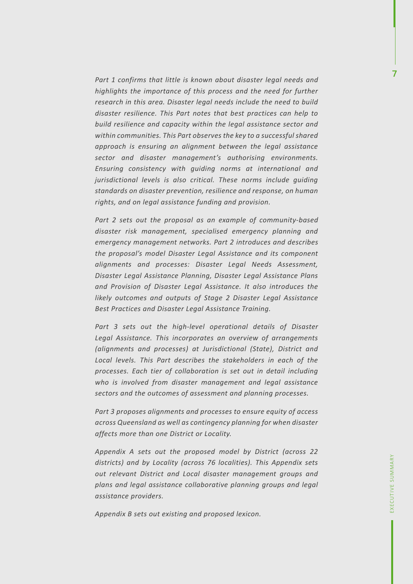*Part 1 confirms that little is known about disaster legal needs and highlights the importance of this process and the need for further research in this area. Disaster legal needs include the need to build disaster resilience. This Part notes that best practices can help to build resilience and capacity within the legal assistance sector and within communities. This Part observes the key to a successful shared approach is ensuring an alignment between the legal assistance sector and disaster management's authorising environments. Ensuring consistency with guiding norms at international and jurisdictional levels is also critical. These norms include guiding standards on disaster prevention, resilience and response, on human rights, and on legal assistance funding and provision.*

*Part 2 sets out the proposal as an example of community-based disaster risk management, specialised emergency planning and emergency management networks. Part 2 introduces and describes the proposal's model Disaster Legal Assistance and its component alignments and processes: Disaster Legal Needs Assessment, Disaster Legal Assistance Planning, Disaster Legal Assistance Plans and Provision of Disaster Legal Assistance. It also introduces the likely outcomes and outputs of Stage 2 Disaster Legal Assistance Best Practices and Disaster Legal Assistance Training.*

Part 3 sets out the high-level operational details of Disaster *Legal Assistance. This incorporates an overview of arrangements (alignments and processes) at Jurisdictional (State), District and Local levels. This Part describes the stakeholders in each of the processes. Each tier of collaboration is set out in detail including who is involved from disaster management and legal assistance sectors and the outcomes of assessment and planning processes.* 

*Part 3 proposes alignments and processes to ensure equity of access across Queensland as well as contingency planning for when disaster affects more than one District or Locality.* 

*Appendix A sets out the proposed model by District (across 22 districts) and by Locality (across 76 localities). This Appendix sets out relevant District and Local disaster management groups and plans and legal assistance collaborative planning groups and legal assistance providers.*

*Appendix B sets out existing and proposed lexicon.*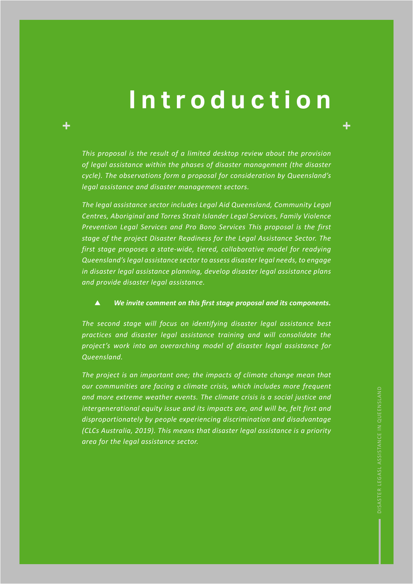# **Introduction**

*This proposal is the result of a limited desktop review about the provision of legal assistance within the phases of disaster management (the disaster cycle). The observations form a proposal for consideration by Queensland's legal assistance and disaster management sectors.* 

*The legal assistance sector includes Legal Aid Queensland, Community Legal Centres, Aboriginal and Torres Strait Islander Legal Services, Family Violence Prevention Legal Services and Pro Bono Services This proposal is the first stage of the project Disaster Readiness for the Legal Assistance Sector. The first stage proposes a state-wide, tiered, collaborative model for readying Queensland's legal assistance sector to assess disaster legal needs, to engage in disaster legal assistance planning, develop disaster legal assistance plans and provide disaster legal assistance.*

#### $\blacktriangle$ *We invite comment on this frst stage proposal and its components.*

*The second stage will focus on identifying disaster legal assistance best practices and disaster legal assistance training and will consolidate the project's work into an overarching model of disaster legal assistance for Queensland.* 

*The project is an important one; the impacts of climate change mean that our communities are facing a climate crisis, which includes more frequent and more extreme weather events. The climate crisis is a social justice and intergenerational equity issue and its impacts are, and will be, felt first and disproportionately by people experiencing discrimination and disadvantage (CLCs Australia, 2019). This means that disaster legal assistance is a priority area for the legal assistance sector.*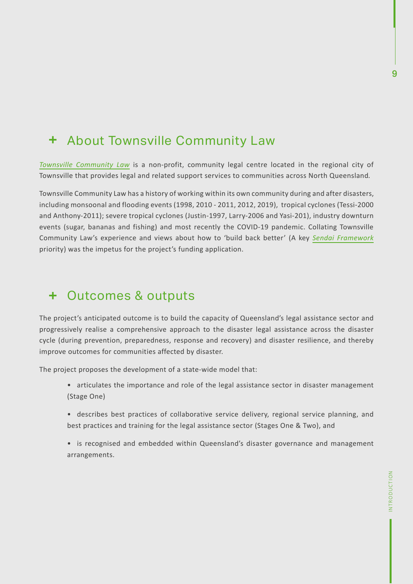### + About Townsville Community Law

*Townsville Community Law* is a non-profit, community legal centre located in the regional city of Townsville that provides legal and related support services to communities across North Queensland.

Townsville Community Law has a history of working within its own community during and after disasters, including monsoonal and flooding events (1998, 2010 - 2011, 2012, 2019), tropical cyclones (Tessi-2000 and Anthony-2011); severe tropical cyclones (Justin-1997, Larry-2006 and Yasi-201), industry downturn events (sugar, bananas and fishing) and most recently the COVID-19 pandemic. Collating Townsville Community Law's experience and views about how to 'build back better' (A key *Sendai Framework* priority) was the impetus for the project's funding application.

### + Outcomes & outputs

The project's anticipated outcome is to build the capacity of Queensland's legal assistance sector and progressively realise a comprehensive approach to the disaster legal assistance across the disaster cycle (during prevention, preparedness, response and recovery) and disaster resilience, and thereby improve outcomes for communities affected by disaster.

The project proposes the development of a state-wide model that:

- articulates the importance and role of the legal assistance sector in disaster management (Stage One)
- describes best practices of collaborative service delivery, regional service planning, and best practices and training for the legal assistance sector (Stages One & Two), and
- is recognised and embedded within Queensland's disaster governance and management arrangements.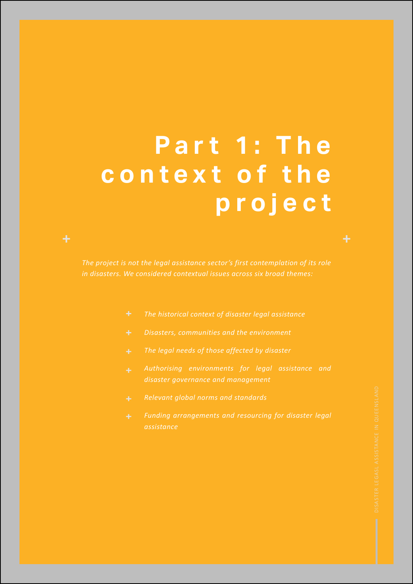# **P a r t 1 : T h e**  c o n t e x t o f the **project**

*The project is not the legal assistance sector's first contemplation of its role in disasters. We considered contextual issues across six broad themes:*

- *The historical context of disaster legal assistance*
- *Disasters, communities and the environment*
- *The legal needs of those affected by disaster*
- *disaster governance and management*
- 
- *Funding arrangements and resourcing for disaster legal assistance*

╇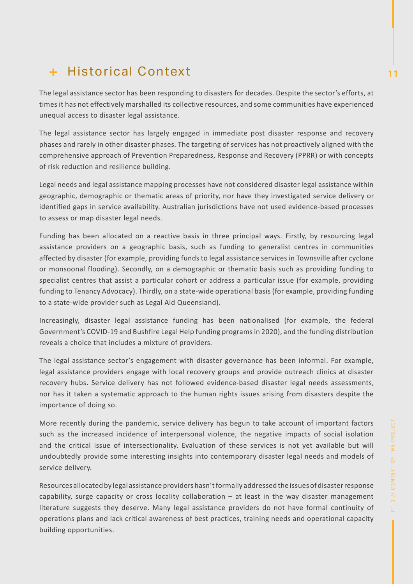# **+ Historical Context** 11 and 12 and 12 and 12 and 12 and 12 and 12 and 12 and 12 and 12 and 12 and 12 and 12 and 12 and 12 and 12 and 12 and 12 and 12 and 12 and 12 and 12 and 12 and 12 and 12 and 12 and 12 and 12 and 12

The legal assistance sector has been responding to disasters for decades. Despite the sector's efforts, at times it has not effectively marshalled its collective resources, and some communities have experienced unequal access to disaster legal assistance.

The legal assistance sector has largely engaged in immediate post disaster response and recovery phases and rarely in other disaster phases. The targeting of services has not proactively aligned with the comprehensive approach of Prevention Preparedness, Response and Recovery (PPRR) or with concepts of risk reduction and resilience building.

Legal needs and legal assistance mapping processes have not considered disaster legal assistance within geographic, demographic or thematic areas of priority, nor have they investigated service delivery or identified gaps in service availability. Australian jurisdictions have not used evidence-based processes to assess or map disaster legal needs.

Funding has been allocated on a reactive basis in three principal ways. Firstly, by resourcing legal assistance providers on a geographic basis, such as funding to generalist centres in communities affected by disaster (for example, providing funds to legal assistance services in Townsville after cyclone or monsoonal flooding). Secondly, on a demographic or thematic basis such as providing funding to specialist centres that assist a particular cohort or address a particular issue (for example, providing funding to Tenancy Advocacy). Thirdly, on a state-wide operational basis (for example, providing funding to a state-wide provider such as Legal Aid Queensland).

Increasingly, disaster legal assistance funding has been nationalised (for example, the federal Government's COVID-19 and Bushfire Legal Help funding programs in 2020), and the funding distribution reveals a choice that includes a mixture of providers.

The legal assistance sector's engagement with disaster governance has been informal. For example, legal assistance providers engage with local recovery groups and provide outreach clinics at disaster recovery hubs. Service delivery has not followed evidence-based disaster legal needs assessments, nor has it taken a systematic approach to the human rights issues arising from disasters despite the importance of doing so.

More recently during the pandemic, service delivery has begun to take account of important factors such as the increased incidence of interpersonal violence, the negative impacts of social isolation and the critical issue of intersectionality. Evaluation of these services is not yet available but will undoubtedly provide some interesting insights into contemporary disaster legal needs and models of service delivery.

Resources allocated by legal assistance providers hasn't formally addressed the issues of disaster response capability, surge capacity or cross locality collaboration – at least in the way disaster management literature suggests they deserve. Many legal assistance providers do not have formal continuity of operations plans and lack critical awareness of best practices, training needs and operational capacity building opportunities.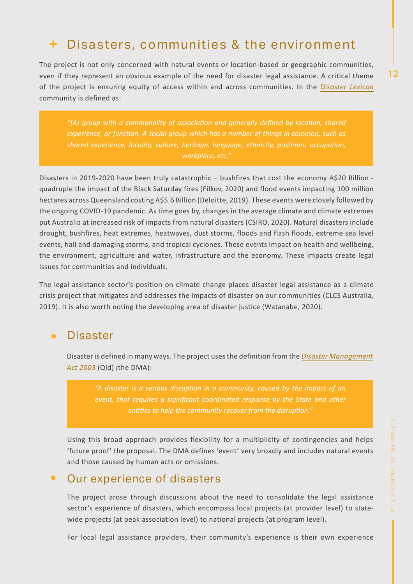### Disasters, communities & the environment

The project is not only concerned with natural events or location-based or geographic communities, even if they represent an obvious example of the need for disaster legal assistance. A critical theme of the project is ensuring equity of access within and across communities. In the *Disaster Lexicon* community is defined as:

*"[A] group with a commonality of associaton and generally defned by locaton, shared experience, or functon. A social group which has a number of things in common, such as shared experience, locality, culture, heritage, language, ethnicity, pastmes, occupaton, workplace, etc."*

Disasters in 2019-2020 have been truly catastrophic – bushfires that cost the economy A\$20 Billion quadruple the impact of the Black Saturday fires (Filkov, 2020) and flood events impacting 100 million hectares across Queensland costing A\$5.6 Billion (Deloitte, 2019). These events were closely followed by the ongoing COVID-19 pandemic. As time goes by, changes in the average climate and climate extremes put Australia at increased risk of impacts from natural disasters (CSIRO, 2020). Natural disasters include drought, bushfires, heat extremes, heatwaves, dust storms, floods and flash floods, extreme sea level events, hail and damaging storms, and tropical cyclones. These events impact on health and wellbeing, the environment, agriculture and water, infrastructure and the economy. These impacts create legal issues for communities and individuals.

The legal assistance sector's position on climate change places disaster legal assistance as a climate crisis project that mitigates and addresses the impacts of disaster on our communities (CLCS Australia, 2019). It is also worth noting the developing area of disaster justice (Watanabe, 2020).

#### **Disaster**  $\bullet$

Disaster is defined in many ways. The project uses the definition from the *Disaster Management Act 2003* (Qld) (the DMA):

*"A disaster is a serious disrupton in a community, caused by the impact of an event, that requires a signifcant coordinated response by the State and other* 

Using this broad approach provides flexibility for a multiplicity of contingencies and helps 'future proof' the proposal. The DMA defines 'event' very broadly and includes natural events and those caused by human acts or omissions.

#### Our experience of disasters  $\bullet$

The project arose through discussions about the need to consolidate the legal assistance sector's experience of disasters, which encompass local projects (at provider level) to statewide projects (at peak association level) to national projects (at program level).

For local legal assistance providers, their community's experience is their own experience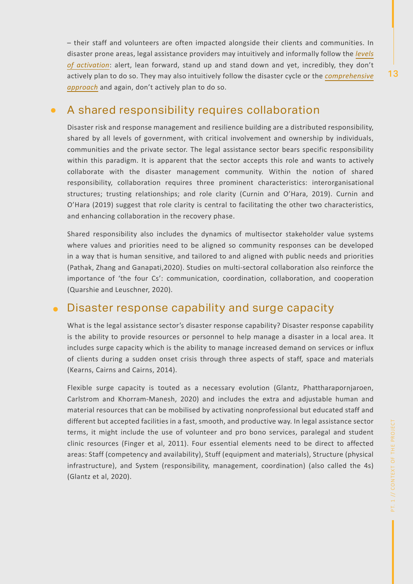– their staff and volunteers are often impacted alongside their clients and communities. In disaster prone areas, legal assistance providers may intuitively and informally follow the *levels of activation*: alert, lean forward, stand up and stand down and yet, incredibly, they don't actively plan to do so. They may also intuitively follow the disaster cycle or the *comprehensive approach* and again, don't actively plan to do so.

#### A shared responsibility requires collaboration  $\bullet$

Disaster risk and response management and resilience building are a distributed responsibility, shared by all levels of government, with critical involvement and ownership by individuals, communities and the private sector. The legal assistance sector bears specific responsibility within this paradigm. It is apparent that the sector accepts this role and wants to actively collaborate with the disaster management community. Within the notion of shared responsibility, collaboration requires three prominent characteristics: interorganisational structures; trusting relationships; and role clarity (Curnin and O'Hara, 2019). Curnin and O'Hara (2019) suggest that role clarity is central to facilitating the other two characteristics, and enhancing collaboration in the recovery phase.

Shared responsibility also includes the dynamics of multisector stakeholder value systems where values and priorities need to be aligned so community responses can be developed in a way that is human sensitive, and tailored to and aligned with public needs and priorities (Pathak, Zhang and Ganapati,2020). Studies on multi-sectoral collaboration also reinforce the importance of 'the four Cs': communication, coordination, collaboration, and cooperation (Quarshie and Leuschner, 2020).

### Disaster response capability and surge capacity

What is the legal assistance sector's disaster response capability? Disaster response capability is the ability to provide resources or personnel to help manage a disaster in a local area. It includes surge capacity which is the ability to manage increased demand on services or influx of clients during a sudden onset crisis through three aspects of staff, space and materials (Kearns, Cairns and Cairns, 2014).

Flexible surge capacity is touted as a necessary evolution (Glantz, Phattharapornjaroen, Carlstrom and Khorram-Manesh, 2020) and includes the extra and adjustable human and material resources that can be mobilised by activating nonprofessional but educated staff and different but accepted facilities in a fast, smooth, and productive way. In legal assistance sector terms, it might include the use of volunteer and pro bono services, paralegal and student clinic resources (Finger et al, 2011). Four essential elements need to be direct to affected areas: Staff (competency and availability), Stuff (equipment and materials), Structure (physical infrastructure), and System (responsibility, management, coordination) (also called the 4s) (Glantz et al, 2020).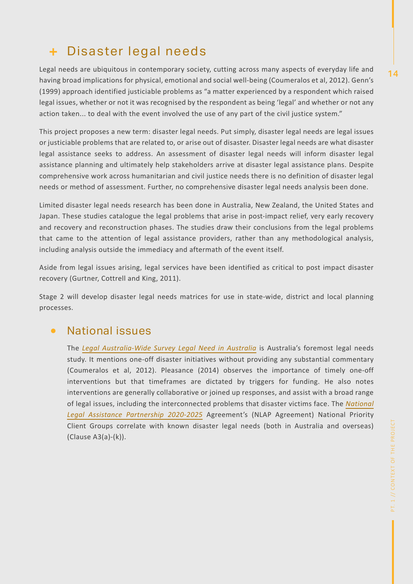### Disaster legal needs

Legal needs are ubiquitous in contemporary society, cutting across many aspects of everyday life and having broad implications for physical, emotional and social well-being (Coumeralos et al, 2012). Genn's (1999) approach identified justiciable problems as "a matter experienced by a respondent which raised legal issues, whether or not it was recognised by the respondent as being 'legal' and whether or not any action taken... to deal with the event involved the use of any part of the civil justice system."

This project proposes a new term: disaster legal needs. Put simply, disaster legal needs are legal issues or justiciable problems that are related to, or arise out of disaster. Disaster legal needs are what disaster legal assistance seeks to address. An assessment of disaster legal needs will inform disaster legal assistance planning and ultimately help stakeholders arrive at disaster legal assistance plans. Despite comprehensive work across humanitarian and civil justice needs there is no definition of disaster legal needs or method of assessment. Further, no comprehensive disaster legal needs analysis been done.

Limited disaster legal needs research has been done in Australia, New Zealand, the United States and Japan. These studies catalogue the legal problems that arise in post-impact relief, very early recovery and recovery and reconstruction phases. The studies draw their conclusions from the legal problems that came to the attention of legal assistance providers, rather than any methodological analysis, including analysis outside the immediacy and aftermath of the event itself.

Aside from legal issues arising, legal services have been identified as critical to post impact disaster recovery (Gurtner, Cottrell and King, 2011).

Stage 2 will develop disaster legal needs matrices for use in state-wide, district and local planning processes.

#### National issues  $\bullet$

The *Legal Australia-Wide Survey Legal Need in Australia* is Australia's foremost legal needs study. It mentions one-off disaster initiatives without providing any substantial commentary (Coumeralos et al, 2012). Pleasance (2014) observes the importance of timely one-off interventions but that timeframes are dictated by triggers for funding. He also notes interventions are generally collaborative or joined up responses, and assist with a broad range of legal issues, including the interconnected problems that disaster victims face. The *National Legal Assistance Partnership 2020-2025* Agreement's (NLAP Agreement) National Priority Client Groups correlate with known disaster legal needs (both in Australia and overseas) (Clause A3(a)-(k)).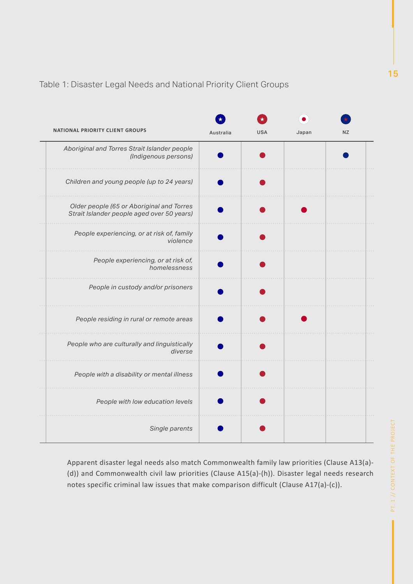### Table 1: Disaster Legal Needs and National Priority Client Groups

| <b>NATIONAL PRIORITY CLIENT GROUPS</b>                                                  | Australia | <b>USA</b> | Japan | <b>NZ</b> |
|-----------------------------------------------------------------------------------------|-----------|------------|-------|-----------|
| Aboriginal and Torres Strait Islander people<br>(Indigenous persons)                    |           |            |       |           |
| Children and young people (up to 24 years)                                              |           |            |       |           |
| Older people (65 or Aboriginal and Torres<br>Strait Islander people aged over 50 years) |           |            |       |           |
| People experiencing, or at risk of, family<br>violence                                  |           |            |       |           |
| People experiencing, or at risk of,<br>homelessness                                     |           |            |       |           |
| People in custody and/or prisoners                                                      |           |            |       |           |
| People residing in rural or remote areas                                                |           |            |       |           |
| People who are culturally and linguistically<br>diverse                                 |           |            |       |           |
| People with a disability or mental illness                                              |           |            |       |           |
| People with low education levels                                                        |           |            |       |           |
| Single parents                                                                          |           |            |       |           |

Apparent disaster legal needs also match Commonwealth family law priorities (Clause A13(a)- (d)) and Commonwealth civil law priorities (Clause A15(a)-(h)). Disaster legal needs research notes specific criminal law issues that make comparison difficult (Clause A17(a)-(c)).

PT. 1 // CONTEXT OF THE PROJECT PT. 1 // CONTEXT OF THE PROJECT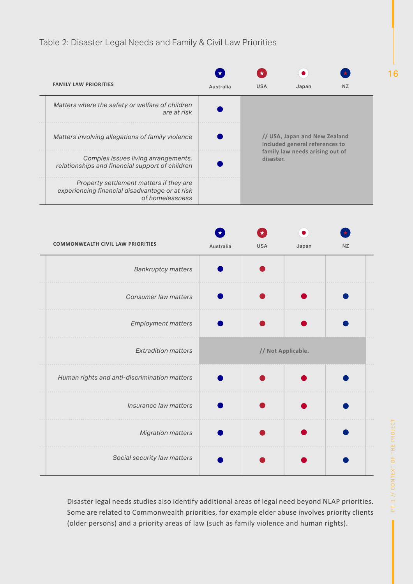### Table 2: Disaster Legal Needs and Family & Civil Law Priorities

| <b>FAMILY LAW PRIORITIES</b>                                                                                 | Australia | <b>USA</b>                                                                                                      | Japan | N <sub>7</sub> |
|--------------------------------------------------------------------------------------------------------------|-----------|-----------------------------------------------------------------------------------------------------------------|-------|----------------|
| Matters where the safety or welfare of children<br>are at risk                                               |           |                                                                                                                 |       |                |
| Matters involving allegations of family violence                                                             |           | // USA, Japan and New Zealand<br>included general references to<br>family law needs arising out of<br>disaster. |       |                |
| Complex issues living arrangements,<br>relationships and financial support of children                       |           |                                                                                                                 |       |                |
| Property settlement matters if they are<br>experiencing financial disadvantage or at risk<br>of homelessness |           |                                                                                                                 |       |                |

| <b>COMMONWEALTH CIVIL LAW PRIORITIES</b>     | Australia | <b>USA</b> | Japan              | <b>NZ</b> |
|----------------------------------------------|-----------|------------|--------------------|-----------|
| <b>Bankruptcy matters</b>                    |           |            |                    |           |
| Consumer law matters                         |           |            |                    |           |
| Employment matters                           |           |            |                    |           |
| <b>Extradition matters</b>                   |           |            | // Not Applicable. |           |
| Human rights and anti-discrimination matters |           |            |                    |           |
| Insurance law matters                        |           |            |                    |           |
| <b>Migration matters</b>                     |           |            |                    |           |
| Social security law matters                  |           |            |                    |           |

Disaster legal needs studies also identify additional areas of legal need beyond NLAP priorities. Some are related to Commonwealth priorities, for example elder abuse involves priority clients (older persons) and a priority areas of law (such as family violence and human rights).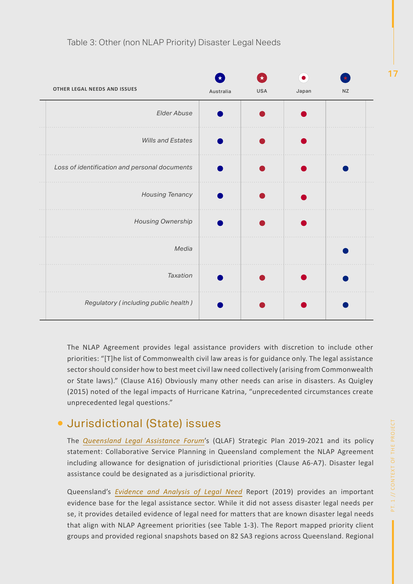

The NLAP Agreement provides legal assistance providers with discretion to include other priorities: "[T]he list of Commonwealth civil law areas is for guidance only. The legal assistance sector should consider how to best meet civil law need collectively (arising from Commonwealth or State laws)." (Clause A16) Obviously many other needs can arise in disasters. As Quigley (2015) noted of the legal impacts of Hurricane Katrina, "unprecedented circumstances create unprecedented legal questions."

### Jurisdictional (State) issues

The *Queensland Legal Assistance Forum*'s (QLAF) Strategic Plan 2019-2021 and its policy statement: Collaborative Service Planning in Queensland complement the NLAP Agreement including allowance for designation of jurisdictional priorities (Clause A6-A7). Disaster legal assistance could be designated as a jurisdictional priority.

Queensland's *Evidence and Analysis of Legal Need* Report (2019) provides an important evidence base for the legal assistance sector. While it did not assess disaster legal needs per se, it provides detailed evidence of legal need for matters that are known disaster legal needs that align with NLAP Agreement priorities (see Table 1-3). The Report mapped priority client groups and provided regional snapshots based on 82 SA3 regions across Queensland. Regional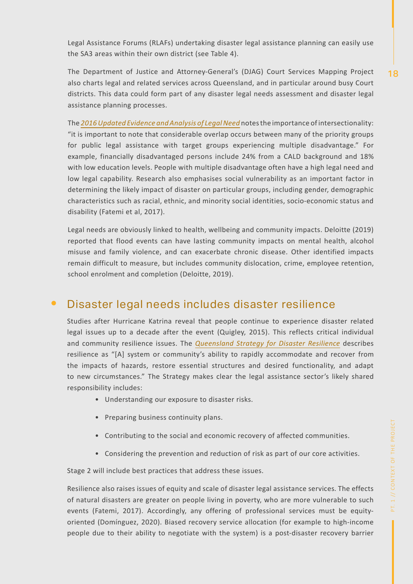Legal Assistance Forums (RLAFs) undertaking disaster legal assistance planning can easily use the SA3 areas within their own district (see Table 4).

The Department of Justice and Attorney-General's (DJAG) Court Services Mapping Project also charts legal and related services across Queensland, and in particular around busy Court districts. This data could form part of any disaster legal needs assessment and disaster legal assistance planning processes.

The *2016 Updated Evidence and Analysis of Legal Need* notes the importance of intersectionality: "it is important to note that considerable overlap occurs between many of the priority groups for public legal assistance with target groups experiencing multiple disadvantage." For example, financially disadvantaged persons include 24% from a CALD background and 18% with low education levels. People with multiple disadvantage often have a high legal need and low legal capability. Research also emphasises social vulnerability as an important factor in determining the likely impact of disaster on particular groups, including gender, demographic characteristics such as racial, ethnic, and minority social identities, socio-economic status and disability (Fatemi et al, 2017).

Legal needs are obviously linked to health, wellbeing and community impacts. Deloitte (2019) reported that flood events can have lasting community impacts on mental health, alcohol misuse and family violence, and can exacerbate chronic disease. Other identified impacts remain difficult to measure, but includes community dislocation, crime, employee retention, school enrolment and completion (Deloitte, 2019).

#### Disaster legal needs includes disaster resilience  $\bullet$

Studies after Hurricane Katrina reveal that people continue to experience disaster related legal issues up to a decade after the event (Quigley, 2015). This reflects critical individual and community resilience issues. The *Queensland Strategy for Disaster Resilience* describes resilience as "[A] system or community's ability to rapidly accommodate and recover from the impacts of hazards, restore essential structures and desired functionality, and adapt to new circumstances." The Strategy makes clear the legal assistance sector's likely shared responsibility includes:

- Understanding our exposure to disaster risks.
- Preparing business continuity plans.
- Contributing to the social and economic recovery of affected communities.
- Considering the prevention and reduction of risk as part of our core activities.

Stage 2 will include best practices that address these issues.

Resilience also raises issues of equity and scale of disaster legal assistance services. The effects of natural disasters are greater on people living in poverty, who are more vulnerable to such events (Fatemi, 2017). Accordingly, any offering of professional services must be equityoriented (Dominguez, 2020). Biased recovery service allocation (for example to high-income people due to their ability to negotiate with the system) is a post-disaster recovery barrier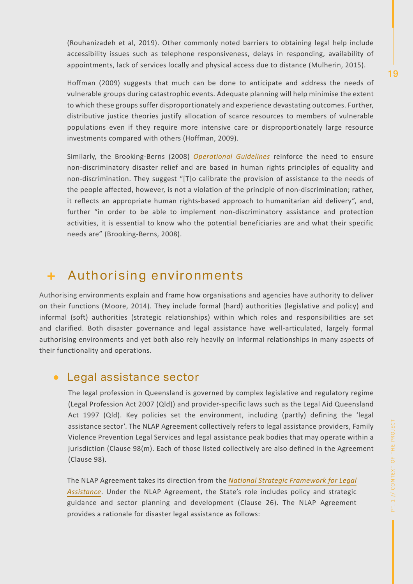(Rouhanizadeh et al, 2019). Other commonly noted barriers to obtaining legal help include accessibility issues such as telephone responsiveness, delays in responding, availability of appointments, lack of services locally and physical access due to distance (Mulherin, 2015).

Hoffman (2009) suggests that much can be done to anticipate and address the needs of vulnerable groups during catastrophic events. Adequate planning will help minimise the extent to which these groups suffer disproportionately and experience devastating outcomes. Further, distributive justice theories justify allocation of scarce resources to members of vulnerable populations even if they require more intensive care or disproportionately large resource investments compared with others (Hoffman, 2009).

Similarly, the Brooking-Berns (2008) *Operational Guidelines* reinforce the need to ensure non-discriminatory disaster relief and are based in human rights principles of equality and non-discrimination. They suggest "[T]o calibrate the provision of assistance to the needs of the people affected, however, is not a violation of the principle of non-discrimination; rather, it reflects an appropriate human rights-based approach to humanitarian aid delivery", and, further "in order to be able to implement non-discriminatory assistance and protection activities, it is essential to know who the potential beneficiaries are and what their specific needs are" (Brooking-Berns, 2008).

#### Authorising environments ÷.

Authorising environments explain and frame how organisations and agencies have authority to deliver on their functions (Moore, 2014). They include formal (hard) authorities (legislative and policy) and informal (soft) authorities (strategic relationships) within which roles and responsibilities are set and clarified. Both disaster governance and legal assistance have well-articulated, largely formal authorising environments and yet both also rely heavily on informal relationships in many aspects of their functionality and operations.

### Legal assistance sector

The legal profession in Queensland is governed by complex legislative and regulatory regime (Legal Profession Act 2007 (Qld)) and provider-specific laws such as the Legal Aid Queensland Act 1997 (Qld). Key policies set the environment, including (partly) defining the 'legal assistance sector'. The NLAP Agreement collectively refers to legal assistance providers, Family Violence Prevention Legal Services and legal assistance peak bodies that may operate within a jurisdiction (Clause 98(m). Each of those listed collectively are also defined in the Agreement (Clause 98).

The NLAP Agreement takes its direction from the *National Strategic Framework for Legal Assistance*. Under the NLAP Agreement, the State's role includes policy and strategic guidance and sector planning and development (Clause 26). The NLAP Agreement provides a rationale for disaster legal assistance as follows: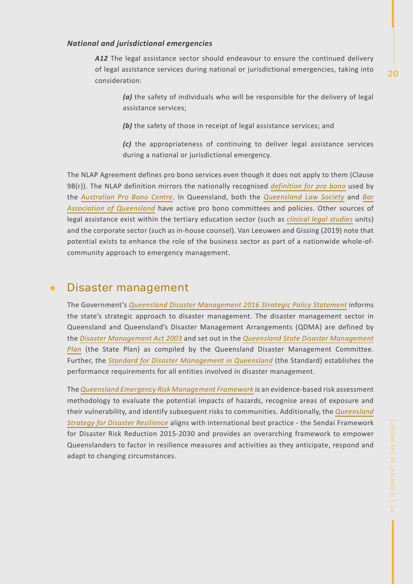#### *National and jurisdictional emergencies*

*A12* The legal assistance sector should endeavour to ensure the continued delivery of legal assistance services during national or jurisdictional emergencies, taking into consideration:

*(a)* the safety of individuals who will be responsible for the delivery of legal assistance services;

**(b)** the safety of those in receipt of legal assistance services; and

*(c)* the appropriateness of continuing to deliver legal assistance services during a national or jurisdictional emergency.

The NLAP Agreement defines pro bono services even though it does not apply to them (Clause 98(r)). The NLAP definition mirrors the nationally recognised *definition for pro bono* used by the *Australian Pro Bono Centre*. In Queensland, both the *Queensland Law Society* and *Bar Association of Queensland* have active pro bono committees and policies. Other sources of legal assistance exist within the tertiary education sector (such as *clinical legal studies* units) and the corporate sector (such as in-house counsel). Van Leeuwen and Gissing (2019) note that potential exists to enhance the role of the business sector as part of a nationwide whole-ofcommunity approach to emergency management.

#### Disaster management  $\bullet$

The Government's *Queensland Disaster Management 2016 Strategic Policy Statement* informs the state's strategic approach to disaster management. The disaster management sector in Queensland and Queensland's Disaster Management Arrangements (QDMA) are defined by the *Disaster Management Act 2003* and set out in the *Queensland State Disaster Management Plan* (the State Plan) as compiled by the Queensland Disaster Management Committee. Further, the *Standard for Disaster Management in Queensland* (the Standard) establishes the performance requirements for all entities involved in disaster management.

The *Queensland Emergency Risk Management Framework* is an evidence-based risk assessment methodology to evaluate the potential impacts of hazards, recognise areas of exposure and their vulnerability, and identify subsequent risks to communities. Additionally, the *Queensland Strategy for Disaster Resilience* aligns with international best practice - the Sendai Framework for Disaster Risk Reduction 2015-2030 and provides an overarching framework to empower Queenslanders to factor in resilience measures and activities as they anticipate, respond and adapt to changing circumstances.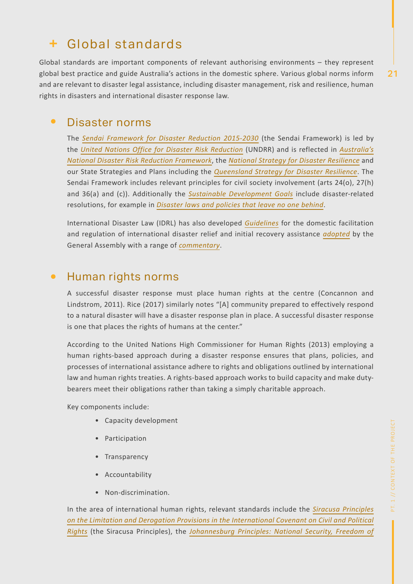### Global standards

Global standards are important components of relevant authorising environments – they represent global best practice and guide Australia's actions in the domestic sphere. Various global norms inform and are relevant to disaster legal assistance, including disaster management, risk and resilience, human rights in disasters and international disaster response law.

#### $\bullet$ Disaster norms

The *Sendai Framework for Disaster Reduction 2015-2030* (the Sendai Framework) is led by the *United Nations Office for Disaster Risk Reduction* (UNDRR) and is reflected in *Australia's National Disaster Risk Reduction Framework*, the *National Strategy for Disaster Resilience* and our State Strategies and Plans including the *Queensland Strategy for Disaster Resilience*. The Sendai Framework includes relevant principles for civil society involvement (arts 24(o), 27(h) and 36(a) and (c)). Additionally the *Sustainable Development Goals* include disaster-related resolutions, for example in *Disaster laws and policies that leave no one behind*.

International Disaster Law (IDRL) has also developed *Guidelines* for the domestic facilitation and regulation of international disaster relief and initial recovery assistance *adopted* by the General Assembly with a range of *commentary*.

### • Human rights norms

A successful disaster response must place human rights at the centre (Concannon and Lindstrom, 2011). Rice (2017) similarly notes "[A] community prepared to effectively respond to a natural disaster will have a disaster response plan in place. A successful disaster response is one that places the rights of humans at the center."

According to the United Nations High Commissioner for Human Rights (2013) employing a human rights-based approach during a disaster response ensures that plans, policies, and processes of international assistance adhere to rights and obligations outlined by international law and human rights treaties. A rights-based approach works to build capacity and make dutybearers meet their obligations rather than taking a simply charitable approach.

Key components include:

- Capacity development
- Participation
- Transparency
- Accountability
- Non-discrimination.

In the area of international human rights, relevant standards include the *Siracusa Principles on the Limitation and Derogation Provisions in the International Covenant on Civil and Political Rights* (the Siracusa Principles), the *Johannesburg Principles: National Security, Freedom of*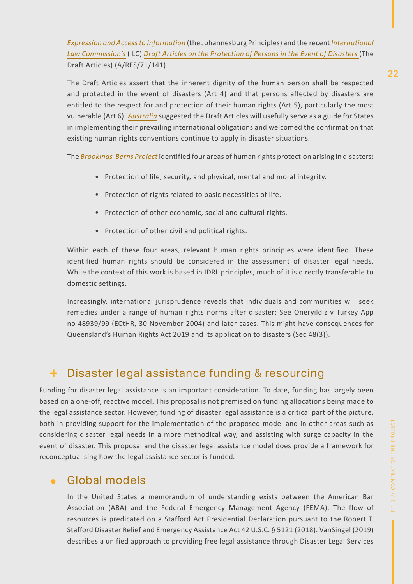*Expression and Access to Information* (the Johannesburg Principles) and the recent *International Law Commission's* (ILC) *Draft Articles on the Protection of Persons in the Event of Disasters* (The Draft Articles) (A/RES/71/141).

The Draft Articles assert that the inherent dignity of the human person shall be respected and protected in the event of disasters (Art 4) and that persons affected by disasters are entitled to the respect for and protection of their human rights (Art 5), particularly the most vulnerable (Art 6). *Australia* suggested the Draft Articles will usefully serve as a guide for States in implementing their prevailing international obligations and welcomed the confirmation that existing human rights conventions continue to apply in disaster situations.

The *Brookings-Berns Project* identified four areas of human rights protection arising in disasters:

- Protection of life, security, and physical, mental and moral integrity.
- Protection of rights related to basic necessities of life.
- Protection of other economic, social and cultural rights.
- Protection of other civil and political rights.

Within each of these four areas, relevant human rights principles were identified. These identified human rights should be considered in the assessment of disaster legal needs. While the context of this work is based in IDRL principles, much of it is directly transferable to domestic settings.

Increasingly, international jurisprudence reveals that individuals and communities will seek remedies under a range of human rights norms after disaster: See Öneryildiz v Turkey App no 48939/99 (ECtHR, 30 November 2004) and later cases. This might have consequences for Queensland's Human Rights Act 2019 and its application to disasters (Sec 48(3)).

### + Disaster legal assistance funding & resourcing

Funding for disaster legal assistance is an important consideration. To date, funding has largely been based on a one-off, reactive model. This proposal is not premised on funding allocations being made to the legal assistance sector. However, funding of disaster legal assistance is a critical part of the picture, both in providing support for the implementation of the proposed model and in other areas such as considering disaster legal needs in a more methodical way, and assisting with surge capacity in the event of disaster. This proposal and the disaster legal assistance model does provide a framework for reconceptualising how the legal assistance sector is funded.

### Global models

In the United States a memorandum of understanding exists between the American Bar Association (ABA) and the Federal Emergency Management Agency (FEMA). The flow of resources is predicated on a Stafford Act Presidential Declaration pursuant to the Robert T. Stafford Disaster Relief and Emergency Assistance Act 42 U.S.C. § 5121 (2018). VanSingel (2019) describes a unified approach to providing free legal assistance through Disaster Legal Services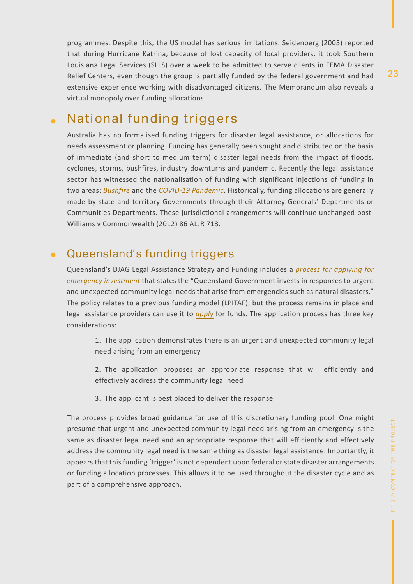programmes. Despite this, the US model has serious limitations. Seidenberg (2005) reported that during Hurricane Katrina, because of lost capacity of local providers, it took Southern Louisiana Legal Services (SLLS) over a week to be admitted to serve clients in FEMA Disaster Relief Centers, even though the group is partially funded by the federal government and had extensive experience working with disadvantaged citizens. The Memorandum also reveals a virtual monopoly over funding allocations.

#### National funding triggers  $\bullet$

Australia has no formalised funding triggers for disaster legal assistance, or allocations for needs assessment or planning. Funding has generally been sought and distributed on the basis of immediate (and short to medium term) disaster legal needs from the impact of floods, cyclones, storms, bushfires, industry downturns and pandemic. Recently the legal assistance sector has witnessed the nationalisation of funding with significant injections of funding in two areas: *Bushfire* and the *COVID-19 Pandemic*. Historically, funding allocations are generally made by state and territory Governments through their Attorney Generals' Departments or Communities Departments. These jurisdictional arrangements will continue unchanged post-Williams v Commonwealth (2012) 86 ALJR 713.

#### Queensland's funding triggers  $\bullet$

Queensland's DJAG Legal Assistance Strategy and Funding includes a *process for applying for emergency investment* that states the "Queensland Government invests in responses to urgent and unexpected community legal needs that arise from emergencies such as natural disasters." The policy relates to a previous funding model (LPITAF), but the process remains in place and legal assistance providers can use it to *apply* for funds. The application process has three key considerations:

1. The application demonstrates there is an urgent and unexpected community legal need arising from an emergency

2. The application proposes an appropriate response that will efficiently and effectively address the community legal need

3. The applicant is best placed to deliver the response

The process provides broad guidance for use of this discretionary funding pool. One might presume that urgent and unexpected community legal need arising from an emergency is the same as disaster legal need and an appropriate response that will efficiently and effectively address the community legal need is the same thing as disaster legal assistance. Importantly, it appears that this funding 'trigger' is not dependent upon federal or state disaster arrangements or funding allocation processes. This allows it to be used throughout the disaster cycle and as part of a comprehensive approach.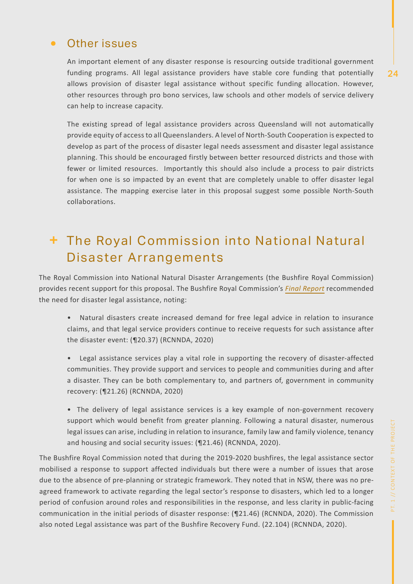### Other issues

An important element of any disaster response is resourcing outside traditional government funding programs. All legal assistance providers have stable core funding that potentially allows provision of disaster legal assistance without specific funding allocation. However, other resources through pro bono services, law schools and other models of service delivery can help to increase capacity.

The existing spread of legal assistance providers across Queensland will not automatically provide equity of access to all Queenslanders. A level of North-South Cooperation is expected to develop as part of the process of disaster legal needs assessment and disaster legal assistance planning. This should be encouraged firstly between better resourced districts and those with fewer or limited resources. Importantly this should also include a process to pair districts for when one is so impacted by an event that are completely unable to offer disaster legal assistance. The mapping exercise later in this proposal suggest some possible North-South collaborations.

# + The Royal Commission into National Natural Disaster Arrangements

The Royal Commission into National Natural Disaster Arrangements (the Bushfire Royal Commission) provides recent support for this proposal. The Bushfire Royal Commission's *Final Report* recommended the need for disaster legal assistance, noting:

- Natural disasters create increased demand for free legal advice in relation to insurance claims, and that legal service providers continue to receive requests for such assistance after the disaster event: (¶20.37) (RCNNDA, 2020)
- Legal assistance services play a vital role in supporting the recovery of disaster-affected communities. They provide support and services to people and communities during and after a disaster. They can be both complementary to, and partners of, government in community recovery: (¶21.26) (RCNNDA, 2020)
- The delivery of legal assistance services is a key example of non-government recovery support which would benefit from greater planning. Following a natural disaster, numerous legal issues can arise, including in relation to insurance, family law and family violence, tenancy and housing and social security issues: (¶21.46) (RCNNDA, 2020).

The Bushfire Royal Commission noted that during the 2019-2020 bushfires, the legal assistance sector mobilised a response to support affected individuals but there were a number of issues that arose due to the absence of pre-planning or strategic framework. They noted that in NSW, there was no preagreed framework to activate regarding the legal sector's response to disasters, which led to a longer period of confusion around roles and responsibilities in the response, and less clarity in public-facing communication in the initial periods of disaster response: (¶21.46) (RCNNDA, 2020). The Commission also noted Legal assistance was part of the Bushfire Recovery Fund. (22.104) (RCNNDA, 2020).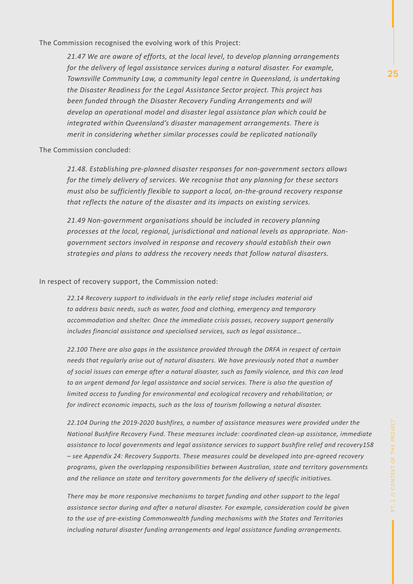The Commission recognised the evolving work of this Project:

*21.47 We are aware of efforts, at the local level, to develop planning arrangements for the delivery of legal assistance services during a natural disaster. For example, Townsville Community Law, a community legal centre in Queensland, is undertaking the Disaster Readiness for the Legal Assistance Sector project. This project has been funded through the Disaster Recovery Funding Arrangements and will develop an operational model and disaster legal assistance plan which could be integrated within Queensland's disaster management arrangements. There is merit in considering whether similar processes could be replicated nationally*

The Commission concluded:

*21.48. Establishing pre-planned disaster responses for non-government sectors allows for the timely delivery of services. We recognise that any planning for these sectors must also be sufficiently flexible to support a local, on-the-ground recovery response that reflects the nature of the disaster and its impacts on existing services.* 

*21.49 Non-government organisations should be included in recovery planning processes at the local, regional, jurisdictional and national levels as appropriate. Nongovernment sectors involved in response and recovery should establish their own strategies and plans to address the recovery needs that follow natural disasters.*

In respect of recovery support, the Commission noted:

*22.14 Recovery support to individuals in the early relief stage includes material aid to address basic needs, such as water, food and clothing, emergency and temporary accommodation and shelter. Once the immediate crisis passes, recovery support generally includes financial assistance and specialised services, such as legal assistance…*

*22.100 There are also gaps in the assistance provided through the DRFA in respect of certain needs that regularly arise out of natural disasters. We have previously noted that a number of social issues can emerge after a natural disaster, such as family violence, and this can lead to an urgent demand for legal assistance and social services. There is also the question of limited access to funding for environmental and ecological recovery and rehabilitation; or for indirect economic impacts, such as the loss of tourism following a natural disaster.*

*22.104 During the 2019-2020 bushfires, a number of assistance measures were provided under the National Bushfire Recovery Fund. These measures include: coordinated clean-up assistance, immediate assistance to local governments and legal assistance services to support bushfire relief and recovery158 – see Appendix 24: Recovery Supports. These measures could be developed into pre-agreed recovery programs, given the overlapping responsibilities between Australian, state and territory governments and the reliance on state and territory governments for the delivery of specific initiatives.* 

*There may be more responsive mechanisms to target funding and other support to the legal assistance sector during and after a natural disaster. For example, consideration could be given to the use of pre-existing Commonwealth funding mechanisms with the States and Territories including natural disaster funding arrangements and legal assistance funding arrangements.*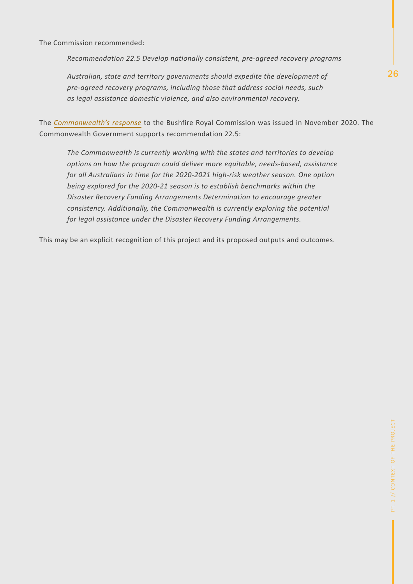The Commission recommended:

*Recommendation 22.5 Develop nationally consistent, pre-agreed recovery programs*

*Australian, state and territory governments should expedite the development of pre-agreed recovery programs, including those that address social needs, such as legal assistance domestic violence, and also environmental recovery.*

The *Commonwealth's response* to the Bushfire Royal Commission was issued in November 2020. The Commonwealth Government supports recommendation 22.5:

*The Commonwealth is currently working with the states and territories to develop options on how the program could deliver more equitable, needs-based, assistance for all Australians in time for the 2020-2021 high-risk weather season. One option being explored for the 2020-21 season is to establish benchmarks within the Disaster Recovery Funding Arrangements Determination to encourage greater consistency. Additionally, the Commonwealth is currently exploring the potential for legal assistance under the Disaster Recovery Funding Arrangements.*

This may be an explicit recognition of this project and its proposed outputs and outcomes.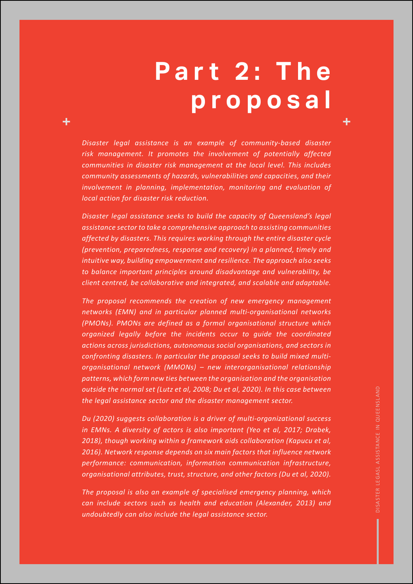# **P a r t 2 : T h e proposal**

*Disaster legal assistance is an example of community-based disaster risk management. It promotes the involvement of potentially affected communities in disaster risk management at the local level. This includes community assessments of hazards, vulnerabilities and capacities, and their involvement in planning, implementation, monitoring and evaluation of local action for disaster risk reduction.* 

*Disaster legal assistance seeks to build the capacity of Queensland's legal assistance sector to take a comprehensive approach to assisting communities affected by disasters. This requires working through the entire disaster cycle (prevention, preparedness, response and recovery) in a planned, timely and intuitive way, building empowerment and resilience. The approach also seeks to balance important principles around disadvantage and vulnerability, be client centred, be collaborative and integrated, and scalable and adaptable.*

*The proposal recommends the creation of new emergency management networks (EMN) and in particular planned multi-organisational networks (PMONs). PMONs are defined as a formal organisational structure which organized legally before the incidents occur to guide the coordinated actions across jurisdictions, autonomous social organisations, and sectors in confronting disasters. In particular the proposal seeks to build mixed multiorganisational network (MMONs) – new interorganisational relationship patterns, which form new ties between the organisation and the organisation outside the normal set (Lutz et al, 2008; Du et al, 2020). In this case between the legal assistance sector and the disaster management sector.*

*Du (2020) suggests collaboration is a driver of multi-organizational success in EMNs. A diversity of actors is also important (Yeo et al, 2017; Drabek, 2018), though working within a framework aids collaboration (Kapucu et al, 2016). Network response depends on six main factors that influence network performance: communication, information communication infrastructure, organisational attributes, trust, structure, and other factors (Du et al, 2020).* 

*The proposal is also an example of specialised emergency planning, which can include sectors such as health and education (Alexander, 2013) and undoubtedly can also include the legal assistance sector.*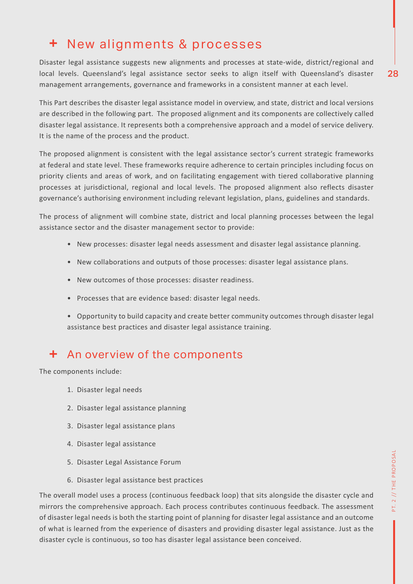### + New alignments & processes

Disaster legal assistance suggests new alignments and processes at state-wide, district/regional and local levels. Queensland's legal assistance sector seeks to align itself with Queensland's disaster management arrangements, governance and frameworks in a consistent manner at each level.

This Part describes the disaster legal assistance model in overview, and state, district and local versions are described in the following part. The proposed alignment and its components are collectively called disaster legal assistance. It represents both a comprehensive approach and a model of service delivery. It is the name of the process and the product.

The proposed alignment is consistent with the legal assistance sector's current strategic frameworks at federal and state level. These frameworks require adherence to certain principles including focus on priority clients and areas of work, and on facilitating engagement with tiered collaborative planning processes at jurisdictional, regional and local levels. The proposed alignment also reflects disaster governance's authorising environment including relevant legislation, plans, guidelines and standards.

The process of alignment will combine state, district and local planning processes between the legal assistance sector and the disaster management sector to provide:

- New processes: disaster legal needs assessment and disaster legal assistance planning.
- New collaborations and outputs of those processes: disaster legal assistance plans.
- New outcomes of those processes: disaster readiness.
- Processes that are evidence based: disaster legal needs.
- Opportunity to build capacity and create better community outcomes through disaster legal assistance best practices and disaster legal assistance training.

### + An overview of the components

The components include:

- 1. Disaster legal needs
- 2. Disaster legal assistance planning
- 3. Disaster legal assistance plans
- 4. Disaster legal assistance
- 5. Disaster Legal Assistance Forum
- 6. Disaster legal assistance best practices

The overall model uses a process (continuous feedback loop) that sits alongside the disaster cycle and mirrors the comprehensive approach. Each process contributes continuous feedback. The assessment of disaster legal needs is both the starting point of planning for disaster legal assistance and an outcome of what is learned from the experience of disasters and providing disaster legal assistance. Just as the disaster cycle is continuous, so too has disaster legal assistance been conceived.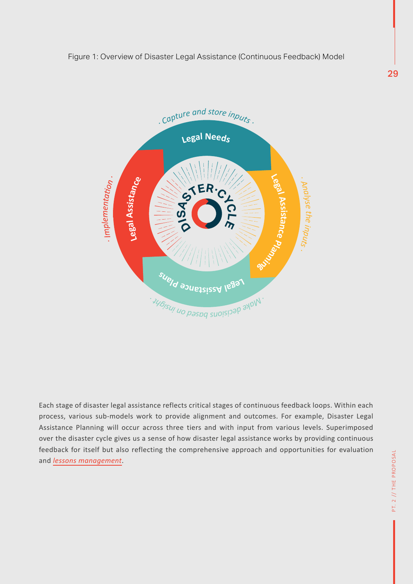

Each stage of disaster legal assistance reflects critical stages of continuous feedback loops. Within each process, various sub-models work to provide alignment and outcomes. For example, Disaster Legal Assistance Planning will occur across three tiers and with input from various levels. Superimposed over the disaster cycle gives us a sense of how disaster legal assistance works by providing continuous feedback for itself but also reflecting the comprehensive approach and opportunities for evaluation and *lessons management*.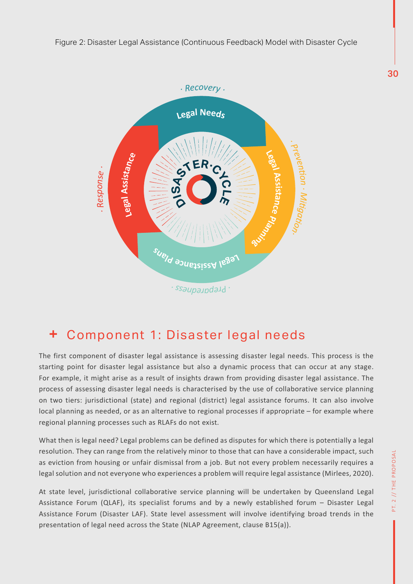

#### Component 1: Disaster legal needs ÷

The first component of disaster legal assistance is assessing disaster legal needs. This process is the starting point for disaster legal assistance but also a dynamic process that can occur at any stage. For example, it might arise as a result of insights drawn from providing disaster legal assistance. The process of assessing disaster legal needs is characterised by the use of collaborative service planning on two tiers: jurisdictional (state) and regional (district) legal assistance forums. It can also involve local planning as needed, or as an alternative to regional processes if appropriate – for example where regional planning processes such as RLAFs do not exist.

What then is legal need? Legal problems can be defined as disputes for which there is potentially a legal resolution. They can range from the relatively minor to those that can have a considerable impact, such as eviction from housing or unfair dismissal from a job. But not every problem necessarily requires a legal solution and not everyone who experiences a problem will require legal assistance (Mirlees, 2020).

At state level, jurisdictional collaborative service planning will be undertaken by Queensland Legal Assistance Forum (QLAF), its specialist forums and by a newly established forum – Disaster Legal Assistance Forum (Disaster LAF). State level assessment will involve identifying broad trends in the presentation of legal need across the State (NLAP Agreement, clause B15(a)).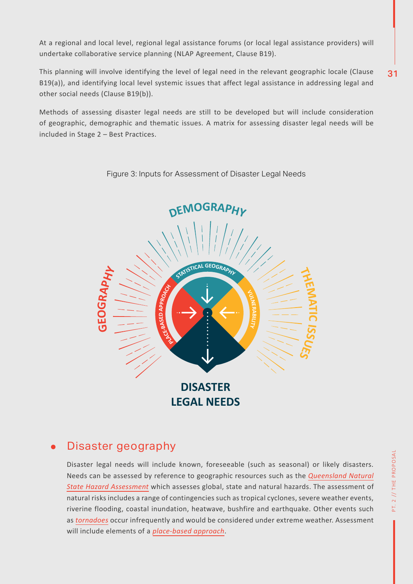At a regional and local level, regional legal assistance forums (or local legal assistance providers) will undertake collaborative service planning (NLAP Agreement, Clause B19).

31 This planning will involve identifying the level of legal need in the relevant geographic locale (Clause B19(a)), and identifying local level systemic issues that affect legal assistance in addressing legal and other social needs (Clause B19(b)).

Methods of assessing disaster legal needs are still to be developed but will include consideration of geographic, demographic and thematic issues. A matrix for assessing disaster legal needs will be included in Stage 2 – Best Practices.



Figure 3: Inputs for Assessment of Disaster Legal Needs

### Disaster geography

Disaster legal needs will include known, foreseeable (such as seasonal) or likely disasters. Needs can be assessed by reference to geographic resources such as the *Queensland Natural State Hazard Assessment* which assesses global, state and natural hazards. The assessment of natural risks includes a range of contingencies such as tropical cyclones, severe weather events, riverine flooding, coastal inundation, heatwave, bushfire and earthquake. Other events such as *tornadoes* occur infrequently and would be considered under extreme weather. Assessment will include elements of a *place-based approach*.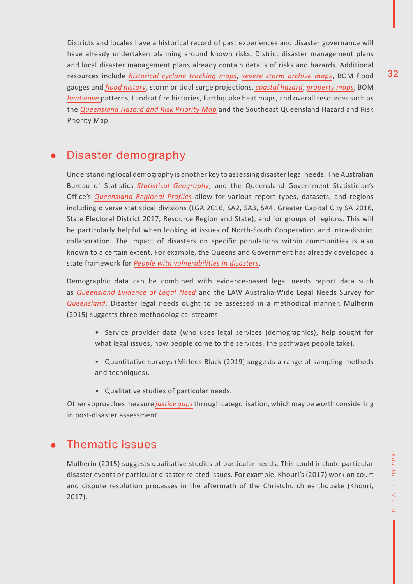Districts and locales have a historical record of past experiences and disaster governance will have already undertaken planning around known risks. District disaster management plans and local disaster management plans already contain details of risks and hazards. Additional resources include *historical cyclone tracking maps*, *severe storm archive maps*, BOM flood gauges and *flood history*, storm or tidal surge projections, *coastal hazard*, *property maps*, BOM *heatwave* patterns, Landsat fire histories, Earthquake heat maps, and overall resources such as the *Queensland Hazard and Risk Priority Map* and the Southeast Queensland Hazard and Risk Priority Map.

### Disaster demography

Understanding local demography is another key to assessing disaster legal needs. The Australian Bureau of Statistics *Statistical Geography*, and the Queensland Government Statistician's Office's *Queensland Regional Profiles* allow for various report types, datasets, and regions including diverse statistical divisions (LGA 2016, SA2, SA3, SA4, Greater Capital City SA 2016, State Electoral District 2017, Resource Region and State), and for groups of regions. This will be particularly helpful when looking at issues of North-South Cooperation and intra-district collaboration. The impact of disasters on specific populations within communities is also known to a certain extent. For example, the Queensland Government has already developed a state framework for *People with vulnerabilities in disasters*.

Demographic data can be combined with evidence-based legal needs report data such as *Queensland Evidence of Legal Need* and the LAW Australia-Wide Legal Needs Survey for *Queensland*. Disaster legal needs ought to be assessed in a methodical manner. Mulherin (2015) suggests three methodological streams:

- Service provider data (who uses legal services (demographics), help sought for what legal issues, how people come to the services, the pathways people take).
- Quantitative surveys (Mirlees-Black (2019) suggests a range of sampling methods and techniques).
- Qualitative studies of particular needs.

Other approaches measure *justice gaps* through categorisation, which may be worth considering in post-disaster assessment.

### Thematic issues

Mulherin (2015) suggests qualitative studies of particular needs. This could include particular disaster events or particular disaster related issues. For example, Khouri's (2017) work on court and dispute resolution processes in the aftermath of the Christchurch earthquake (Khouri, 2017).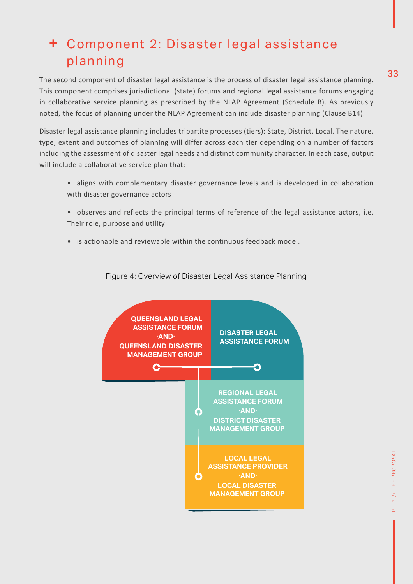# Component 2: Disaster legal assistance planning

The second component of disaster legal assistance is the process of disaster legal assistance planning. This component comprises jurisdictional (state) forums and regional legal assistance forums engaging in collaborative service planning as prescribed by the NLAP Agreement (Schedule B). As previously noted, the focus of planning under the NLAP Agreement can include disaster planning (Clause B14).

Disaster legal assistance planning includes tripartite processes (tiers): State, District, Local. The nature, type, extent and outcomes of planning will differ across each tier depending on a number of factors including the assessment of disaster legal needs and distinct community character. In each case, output will include a collaborative service plan that:

- aligns with complementary disaster governance levels and is developed in collaboration with disaster governance actors
- observes and reflects the principal terms of reference of the legal assistance actors, i.e. Their role, purpose and utility
- is actionable and reviewable within the continuous feedback model.



Figure 4: Overview of Disaster Legal Assistance Planning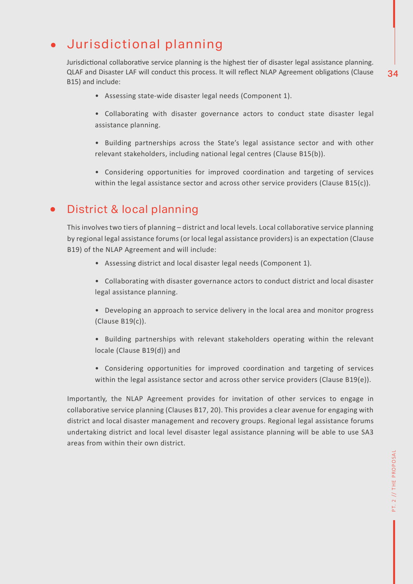### Jurisdictional planning

Jurisdictional collaborative service planning is the highest tier of disaster legal assistance planning. QLAF and Disaster LAF will conduct this process. It will refect NLAP Agreement obligatons (Clause B15) and include:

- 
- 34

- Assessing state-wide disaster legal needs (Component 1).
- Collaborating with disaster governance actors to conduct state disaster legal assistance planning.
- Building partnerships across the State's legal assistance sector and with other relevant stakeholders, including national legal centres (Clause B15(b)).
- Considering opportunities for improved coordination and targeting of services within the legal assistance sector and across other service providers (Clause B15(c)).

#### District & local planning  $\bullet$

This involves two tiers of planning – district and local levels. Local collaborative service planning by regional legal assistance forums (or local legal assistance providers) is an expectation (Clause B19) of the NLAP Agreement and will include:

- Assessing district and local disaster legal needs (Component 1).
- Collaborating with disaster governance actors to conduct district and local disaster legal assistance planning.
- Developing an approach to service delivery in the local area and monitor progress (Clause B19(c)).
- Building partnerships with relevant stakeholders operating within the relevant locale (Clause B19(d)) and
- Considering opportunities for improved coordination and targeting of services within the legal assistance sector and across other service providers (Clause B19(e)).

Importantly, the NLAP Agreement provides for invitation of other services to engage in collaborative service planning (Clauses B17, 20). This provides a clear avenue for engaging with district and local disaster management and recovery groups. Regional legal assistance forums undertaking district and local level disaster legal assistance planning will be able to use SA3 areas from within their own district.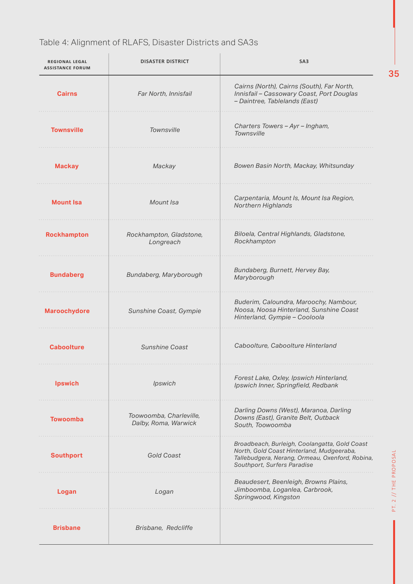### Table 4: Alignment of RLAFS, Disaster Districts and SA3s

| <b>REGIONAL LEGAL</b><br><b>ASSISTANCE FORUM</b> | <b>DISASTER DISTRICT</b>                        | SA <sub>3</sub>                                                                                                                                                              |
|--------------------------------------------------|-------------------------------------------------|------------------------------------------------------------------------------------------------------------------------------------------------------------------------------|
| <b>Cairns</b>                                    | Far North, Innisfail                            | Cairns (North), Cairns (South), Far North,<br>Innisfail - Cassowary Coast, Port Douglas<br>- Daintree, Tablelands (East)                                                     |
| <b>Townsville</b>                                | Townsville                                      | Charters Towers - Ayr - Ingham,<br>Townsville                                                                                                                                |
| <b>Mackay</b>                                    | Mackay                                          | Bowen Basin North, Mackay, Whitsunday                                                                                                                                        |
| <b>Mount Isa</b>                                 | Mount Isa                                       | Carpentaria, Mount Is, Mount Isa Region,<br>Northern Highlands                                                                                                               |
| <b>Rockhampton</b>                               | Rockhampton, Gladstone,<br>Longreach            | Biloela, Central Highlands, Gladstone,<br>Rockhampton                                                                                                                        |
| <b>Bundaberg</b>                                 | Bundaberg, Maryborough                          | Bundaberg, Burnett, Hervey Bay,<br>Maryborough                                                                                                                               |
| <b>Maroochydore</b>                              | Sunshine Coast, Gympie                          | Buderim, Caloundra, Maroochy, Nambour,<br>Noosa, Noosa Hinterland, Sunshine Coast<br>Hinterland, Gympie - Cooloola                                                           |
| <b>Caboolture</b>                                | <b>Sunshine Coast</b>                           | Caboolture, Caboolture Hinterland                                                                                                                                            |
| <b>Ipswich</b>                                   | Ipswich                                         | Forest Lake, Oxley, Ipswich Hinterland,<br>Ipswich Inner, Springfield, Redbank                                                                                               |
| <b>Towoomba</b>                                  | Toowoomba, Charleville,<br>Dalby, Roma, Warwick | Darling Downs (West), Maranoa, Darling<br>Downs (East), Granite Belt, Outback<br>South, Toowoomba                                                                            |
| <b>Southport</b>                                 | <b>Gold Coast</b>                               | Broadbeach, Burleigh, Coolangatta, Gold Coast<br>North, Gold Coast Hinterland, Mudgeeraba,<br>Tallebudgera, Nerang, Ormeau, Oxenford, Robina,<br>Southport, Surfers Paradise |
| Logan                                            | Logan                                           | Beaudesert, Beenleigh, Browns Plains,<br>Jimboomba, Loganlea, Carbrook,<br>Springwood, Kingston                                                                              |
| <b>Brisbane</b>                                  | Brisbane, Redcliffe                             |                                                                                                                                                                              |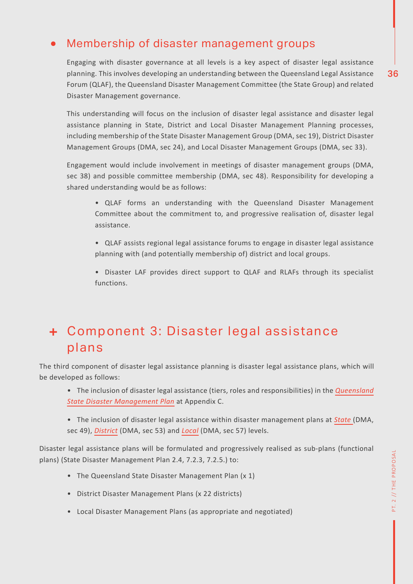### Membership of disaster management groups

Engaging with disaster governance at all levels is a key aspect of disaster legal assistance planning. This involves developing an understanding between the Queensland Legal Assistance Forum (QLAF), the Queensland Disaster Management Committee (the State Group) and related Disaster Management governance.

This understanding will focus on the inclusion of disaster legal assistance and disaster legal assistance planning in State, District and Local Disaster Management Planning processes, including membership of the State Disaster Management Group (DMA, sec 19), District Disaster Management Groups (DMA, sec 24), and Local Disaster Management Groups (DMA, sec 33).

Engagement would include involvement in meetings of disaster management groups (DMA, sec 38) and possible committee membership (DMA, sec 48). Responsibility for developing a shared understanding would be as follows:

- QLAF forms an understanding with the Queensland Disaster Management Committee about the commitment to, and progressive realisation of, disaster legal assistance.
- QLAF assists regional legal assistance forums to engage in disaster legal assistance planning with (and potentially membership of) district and local groups.
- Disaster LAF provides direct support to QLAF and RLAFs through its specialist functions.

# Component 3: Disaster legal assistance plans

The third component of disaster legal assistance planning is disaster legal assistance plans, which will be developed as follows:

- The inclusion of disaster legal assistance (tiers, roles and responsibilities) in the *Queensland State Disaster Management Plan* at Appendix C.
- The inclusion of disaster legal assistance within disaster management plans at *State* (DMA, sec 49), *District* (DMA, sec 53) and *Local* (DMA, sec 57) levels.

Disaster legal assistance plans will be formulated and progressively realised as sub-plans (functional plans) (State Disaster Management Plan 2.4, 7.2.3, 7.2.5.) to:

- The Queensland State Disaster Management Plan (x 1)
- District Disaster Management Plans (x 22 districts)
- Local Disaster Management Plans (as appropriate and negotiated)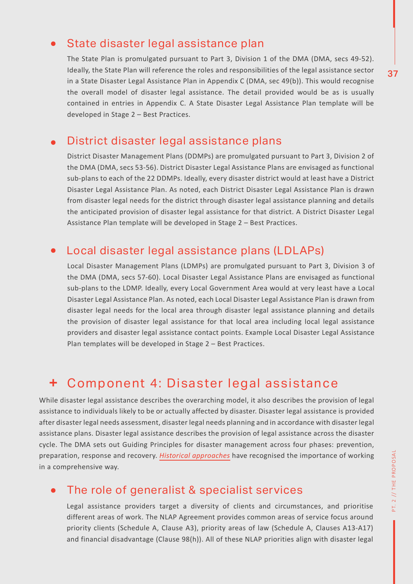### State disaster legal assistance plan

The State Plan is promulgated pursuant to Part 3, Division 1 of the DMA (DMA, secs 49-52). Ideally, the State Plan will reference the roles and responsibilities of the legal assistance sector in a State Disaster Legal Assistance Plan in Appendix C (DMA, sec 49(b)). This would recognise the overall model of disaster legal assistance. The detail provided would be as is usually contained in entries in Appendix C. A State Disaster Legal Assistance Plan template will be developed in Stage 2 – Best Practices.

### District disaster legal assistance plans

District Disaster Management Plans (DDMPs) are promulgated pursuant to Part 3, Division 2 of the DMA (DMA, secs 53-56). District Disaster Legal Assistance Plans are envisaged as functional sub-plans to each of the 22 DDMPs. Ideally, every disaster district would at least have a District Disaster Legal Assistance Plan. As noted, each District Disaster Legal Assistance Plan is drawn from disaster legal needs for the district through disaster legal assistance planning and details the anticipated provision of disaster legal assistance for that district. A District Disaster Legal Assistance Plan template will be developed in Stage 2 – Best Practices.

### Local disaster legal assistance plans (LDLAPs)

Local Disaster Management Plans (LDMPs) are promulgated pursuant to Part 3, Division 3 of the DMA (DMA, secs 57-60). Local Disaster Legal Assistance Plans are envisaged as functional sub-plans to the LDMP. Ideally, every Local Government Area would at very least have a Local Disaster Legal Assistance Plan. As noted, each Local Disaster Legal Assistance Plan is drawn from disaster legal needs for the local area through disaster legal assistance planning and details the provision of disaster legal assistance for that local area including local legal assistance providers and disaster legal assistance contact points. Example Local Disaster Legal Assistance Plan templates will be developed in Stage 2 – Best Practices.

#### ÷, Component 4: Disaster legal assistance

While disaster legal assistance describes the overarching model, it also describes the provision of legal assistance to individuals likely to be or actually affected by disaster. Disaster legal assistance is provided after disaster legal needs assessment, disaster legal needs planning and in accordance with disaster legal assistance plans. Disaster legal assistance describes the provision of legal assistance across the disaster cycle. The DMA sets out Guiding Principles for disaster management across four phases: prevention, preparation, response and recovery. *Historical approaches* have recognised the importance of working in a comprehensive way.

#### The role of generalist & specialist services  $\bullet$

Legal assistance providers target a diversity of clients and circumstances, and prioritise different areas of work. The NLAP Agreement provides common areas of service focus around priority clients (Schedule A, Clause A3), priority areas of law (Schedule A, Clauses A13-A17) and financial disadvantage (Clause 98(h)). All of these NLAP priorities align with disaster legal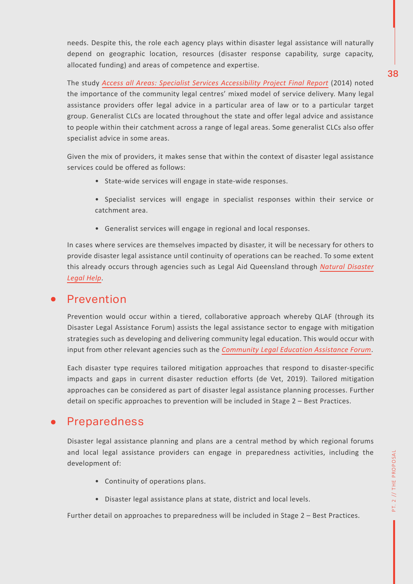needs. Despite this, the role each agency plays within disaster legal assistance will naturally depend on geographic location, resources (disaster response capability, surge capacity, allocated funding) and areas of competence and expertise.

The study *Access all Areas: Specialist Services Accessibility Project Final Report* (2014) noted the importance of the community legal centres' mixed model of service delivery. Many legal assistance providers offer legal advice in a particular area of law or to a particular target group. Generalist CLCs are located throughout the state and offer legal advice and assistance to people within their catchment across a range of legal areas. Some generalist CLCs also offer specialist advice in some areas.

Given the mix of providers, it makes sense that within the context of disaster legal assistance services could be offered as follows:

- State-wide services will engage in state-wide responses.
- Specialist services will engage in specialist responses within their service or catchment area.
- Generalist services will engage in regional and local responses.

In cases where services are themselves impacted by disaster, it will be necessary for others to provide disaster legal assistance until continuity of operations can be reached. To some extent this already occurs through agencies such as Legal Aid Queensland through *Natural Disaster Legal Help*.

### Prevention

Prevention would occur within a tiered, collaborative approach whereby QLAF (through its Disaster Legal Assistance Forum) assists the legal assistance sector to engage with mitigation strategies such as developing and delivering community legal education. This would occur with input from other relevant agencies such as the *Community Legal Education Assistance Forum*.

Each disaster type requires tailored mitigation approaches that respond to disaster-specific impacts and gaps in current disaster reduction efforts (de Vet, 2019). Tailored mitigation approaches can be considered as part of disaster legal assistance planning processes. Further detail on specific approaches to prevention will be included in Stage 2 – Best Practices.

### Preparedness

Disaster legal assistance planning and plans are a central method by which regional forums and local legal assistance providers can engage in preparedness activities, including the development of:

- Continuity of operations plans.
- Disaster legal assistance plans at state, district and local levels.

Further detail on approaches to preparedness will be included in Stage 2 – Best Practices.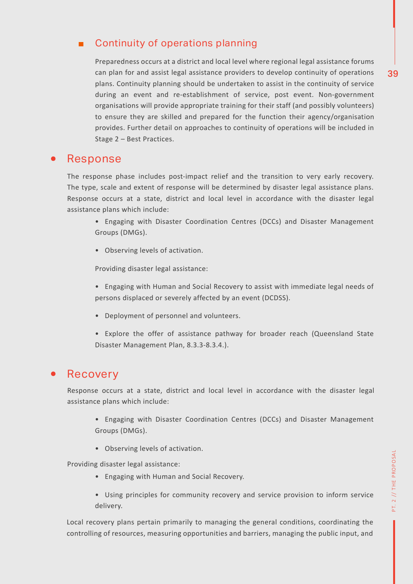### ■ Continuity of operations planning

Preparedness occurs at a district and local level where regional legal assistance forums can plan for and assist legal assistance providers to develop continuity of operations plans. Continuity planning should be undertaken to assist in the continuity of service during an event and re-establishment of service, post event. Non-government organisations will provide appropriate training for their staff (and possibly volunteers) to ensure they are skilled and prepared for the function their agency/organisation provides. Further detail on approaches to continuity of operations will be included in Stage 2 – Best Practices.

### Response

The response phase includes post-impact relief and the transition to very early recovery. The type, scale and extent of response will be determined by disaster legal assistance plans. Response occurs at a state, district and local level in accordance with the disaster legal assistance plans which include:

- Engaging with Disaster Coordination Centres (DCCs) and Disaster Management Groups (DMGs).
- Observing levels of activation.

Providing disaster legal assistance:

- Engaging with Human and Social Recovery to assist with immediate legal needs of persons displaced or severely affected by an event (DCDSS).
- Deployment of personnel and volunteers.
- Explore the offer of assistance pathway for broader reach (Queensland State Disaster Management Plan, 8.3.3-8.3.4.).

### Recovery

Response occurs at a state, district and local level in accordance with the disaster legal assistance plans which include:

- Engaging with Disaster Coordination Centres (DCCs) and Disaster Management Groups (DMGs).
- Observing levels of activation.

Providing disaster legal assistance:

- Engaging with Human and Social Recovery.
- Using principles for community recovery and service provision to inform service delivery.

Local recovery plans pertain primarily to managing the general conditions, coordinating the controlling of resources, measuring opportunities and barriers, managing the public input, and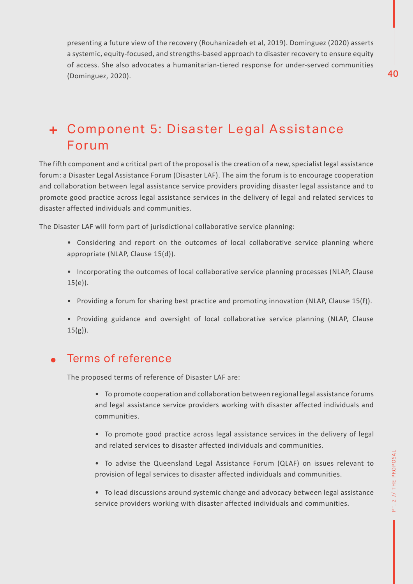presenting a future view of the recovery (Rouhanizadeh et al, 2019). Dominguez (2020) asserts a systemic, equity-focused, and strengths-based approach to disaster recovery to ensure equity of access. She also advocates a humanitarian-tiered response for under-served communities (Dominguez, 2020).

## Component 5: Disaster Legal Assistance Forum

The fifth component and a critical part of the proposal is the creation of a new, specialist legal assistance forum: a Disaster Legal Assistance Forum (Disaster LAF). The aim the forum is to encourage cooperation and collaboration between legal assistance service providers providing disaster legal assistance and to promote good practice across legal assistance services in the delivery of legal and related services to disaster affected individuals and communities.

The Disaster LAF will form part of jurisdictional collaborative service planning:

- Considering and report on the outcomes of local collaborative service planning where appropriate (NLAP, Clause 15(d)).
- Incorporating the outcomes of local collaborative service planning processes (NLAP, Clause  $15(e)$ ).
- Providing a forum for sharing best practice and promoting innovation (NLAP, Clause 15(f)).
- Providing guidance and oversight of local collaborative service planning (NLAP, Clause  $15(g)$ ).

### Terms of reference

The proposed terms of reference of Disaster LAF are:

- To promote cooperation and collaboration between regional legal assistance forums and legal assistance service providers working with disaster affected individuals and communities.
- To promote good practice across legal assistance services in the delivery of legal and related services to disaster affected individuals and communities.
- To advise the Queensland Legal Assistance Forum (QLAF) on issues relevant to provision of legal services to disaster affected individuals and communities.
- To lead discussions around systemic change and advocacy between legal assistance service providers working with disaster affected individuals and communities.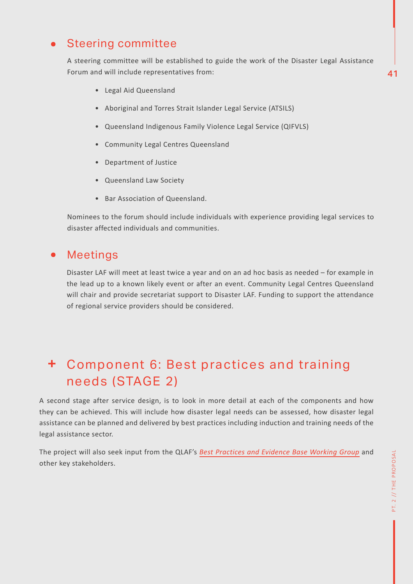### Steering committee

A steering committee will be established to guide the work of the Disaster Legal Assistance Forum and will include representatives from:

- Legal Aid Queensland
- Aboriginal and Torres Strait Islander Legal Service (ATSILS)
- Queensland Indigenous Family Violence Legal Service (QIFVLS)
- Community Legal Centres Queensland
- Department of Justice
- Queensland Law Society
- Bar Association of Queensland.

Nominees to the forum should include individuals with experience providing legal services to disaster affected individuals and communities.

#### Meetings  $\bullet$

Disaster LAF will meet at least twice a year and on an ad hoc basis as needed – for example in the lead up to a known likely event or after an event. Community Legal Centres Queensland will chair and provide secretariat support to Disaster LAF. Funding to support the attendance of regional service providers should be considered.

# Component 6: Best practices and training needs (STAGE 2)

A second stage after service design, is to look in more detail at each of the components and how they can be achieved. This will include how disaster legal needs can be assessed, how disaster legal assistance can be planned and delivered by best practices including induction and training needs of the legal assistance sector.

The project will also seek input from the QLAF's *Best Practices and Evidence Base Working Group* and other key stakeholders.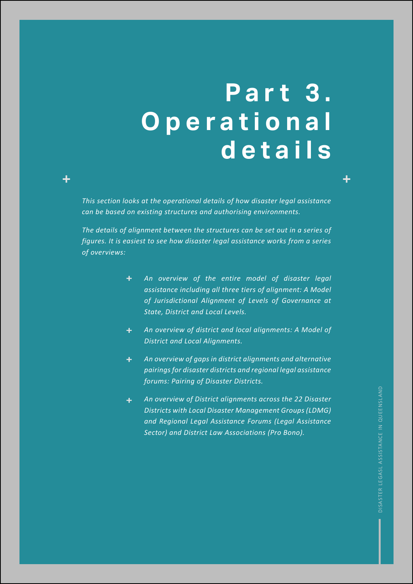# **P a r t 3 . O p e r a t i o n a l details**

*This section looks at the operational details of how disaster legal assistance can be based on existing structures and authorising environments.* 

╋

*The details of alignment between the structures can be set out in a series of figures. It is easiest to see how disaster legal assistance works from a series of overviews:*

- *An overview of the entire model of disaster legal assistance including all three tiers of alignment: A Model of Jurisdictional Alignment of Levels of Governance at State, District and Local Levels.*
- *An overview of district and local alignments: A Model of*   $+$ *District and Local Alignments.*
- $+$   $-$ *An overview of gaps in district alignments and alternative pairings for disaster districts and regional legal assistance forums: Pairing of Disaster Districts.*
- *An overview of District alignments across the 22 Disaster*   $+$   $-$ *Districts with Local Disaster Management Groups (LDMG) and Regional Legal Assistance Forums (Legal Assistance Sector) and District Law Associations (Pro Bono).*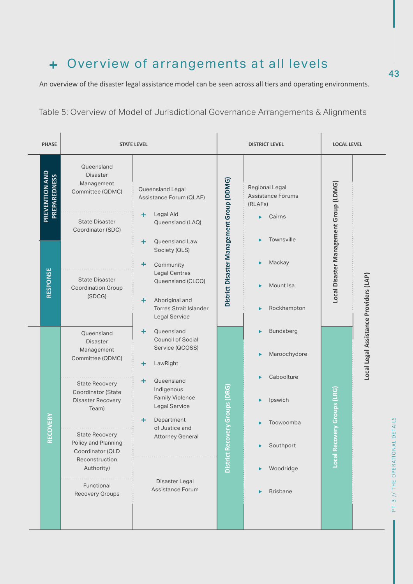## Overview of arrangements at all levels

An overview of the disaster legal assistance model can be seen across all tiers and operating environments.

Table 5: Overview of Model of Jurisdictional Governance Arrangements & Alignments

| <b>PHASE</b>                          |                                                                                                                                                                                                                                                                                          | <b>STATE LEVEL</b>                                                                                                                                                                                                                                                |                                           | <b>DISTRICT LEVEL</b>                                                                                                  |                                        | <b>LOCAL LEVEL</b>                     |
|---------------------------------------|------------------------------------------------------------------------------------------------------------------------------------------------------------------------------------------------------------------------------------------------------------------------------------------|-------------------------------------------------------------------------------------------------------------------------------------------------------------------------------------------------------------------------------------------------------------------|-------------------------------------------|------------------------------------------------------------------------------------------------------------------------|----------------------------------------|----------------------------------------|
| PREVENTION AND<br><b>PREPAREDNESS</b> | Queensland<br><b>Disaster</b><br>Management<br>Committee (QDMC)<br><b>State Disaster</b><br>Coordinator (SDC)                                                                                                                                                                            | Queensland Legal<br>Assistance Forum (QLAF)<br>Legal Aid<br>÷<br>Queensland (LAQ)                                                                                                                                                                                 |                                           | Regional Legal<br><b>Assistance Forums</b><br>(RLAFs)<br>Cairns<br>▶                                                   |                                        |                                        |
| RESPONSE                              | <b>State Disaster</b><br><b>Coordination Group</b><br>(SDCG)                                                                                                                                                                                                                             | Queensland Law<br>٠<br>Society (QLS)<br>٠<br>Community<br><b>Legal Centres</b><br>Queensland (CLCQ)<br>Aboriginal and<br>÷<br><b>Torres Strait Islander</b><br>Legal Service                                                                                      | District Disaster Management Group (DDMG) | Townsville<br>Mackay<br>▶<br>Mount Isa<br>▶<br>Rockhampton                                                             | Local Disaster Management Group (LDMG) |                                        |
| <b>RECOVERY</b>                       | Queensland<br><b>Disaster</b><br>Management<br>Committee (QDMC)<br><b>State Recovery</b><br>Coordinator (State<br>Disaster Recovery<br>Team)<br><b>State Recovery</b><br>Policy and Planning<br>Coordinator (QLD<br>Reconstruction<br>Authority)<br>Functional<br><b>Recovery Groups</b> | Queensland<br>+<br><b>Council of Social</b><br>Service (QCOSS)<br>LawRight<br>÷<br>Queensland<br>÷<br>Indigenous<br><b>Family Violence</b><br>Legal Service<br>Department<br>÷<br>of Justice and<br><b>Attorney General</b><br>Disaster Legal<br>Assistance Forum | District Recovery Groups (DRG)            | Bundaberg<br>▶<br>Maroochydore<br>▶<br>Caboolture<br>Ipswich<br>Toowoomba<br>Southport<br>Woodridge<br><b>Brisbane</b> | ecovery Groups (LRG)<br>Local R        | Local Legal Assistance Providers (LAP) |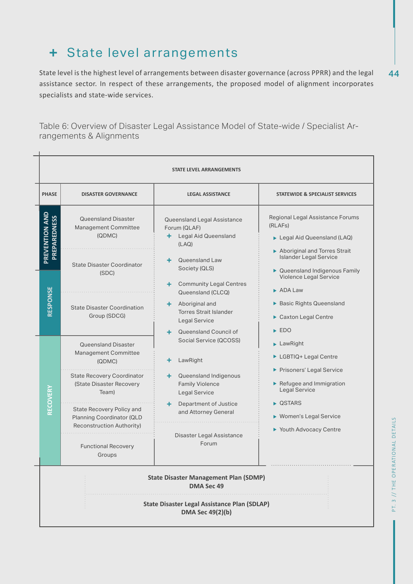### + State level arrangements

44 State level is the highest level of arrangements between disaster governance (across PPRR) and the legal assistance sector. In respect of these arrangements, the proposed model of alignment incorporates specialists and state-wide services.

Table 6: Overview of Disaster Legal Assistance Model of State-wide / Specialist Arrangements & Alignments

|                                                                                |                                                                                                                                                  | <b>STATE LEVEL ARRANGEMENTS</b>                                                                                                                                                                               |                                                                                                                                                                                                                                                                |  |  |
|--------------------------------------------------------------------------------|--------------------------------------------------------------------------------------------------------------------------------------------------|---------------------------------------------------------------------------------------------------------------------------------------------------------------------------------------------------------------|----------------------------------------------------------------------------------------------------------------------------------------------------------------------------------------------------------------------------------------------------------------|--|--|
| <b>PHASE</b>                                                                   | <b>DISASTER GOVERNANCE</b>                                                                                                                       | <b>LEGAL ASSISTANCE</b>                                                                                                                                                                                       | STATEWIDE & SPECIALIST SERVICES                                                                                                                                                                                                                                |  |  |
| PREVENTION AND<br><b>PREPAREDNESS</b><br>RESPONSE                              | <b>Queensland Disaster</b><br>Management Committee<br>(QDMC)<br><b>State Disaster Coordinator</b><br>(SDC)<br><b>State Disaster Coordination</b> | Queensland Legal Assistance<br>Forum (QLAF)<br>Legal Aid Queensland<br>٠.<br>(LAQ)<br>Queensland Law<br>+ 1<br>Society (QLS)<br><b>Community Legal Centres</b><br>÷.<br>Queensland (CLCQ)<br>+ Aboriginal and | Regional Legal Assistance Forums<br>(RLAFs)<br>Legal Aid Queensland (LAQ)<br>Aboriginal and Torres Strait<br><b>Islander Legal Service</b><br>▶ Queensland Indigenous Family<br>Violence Legal Service<br>$\triangleright$ ADA I aw<br>Basic Rights Queensland |  |  |
|                                                                                | Group (SDCG)                                                                                                                                     | <b>Torres Strait Islander</b><br>Legal Service<br>+ Queensland Council of                                                                                                                                     | Caxton Legal Centre<br>$\blacktriangleright$ EDO                                                                                                                                                                                                               |  |  |
|                                                                                | Queensland Disaster<br>Management Committee<br>(QDMC)                                                                                            | Social Service (QCOSS)<br>LawRight<br>÷                                                                                                                                                                       | LawRight<br>LGBTIQ+ Legal Centre                                                                                                                                                                                                                               |  |  |
|                                                                                | <b>State Recovery Coordinator</b><br>(State Disaster Recovery<br>Team)                                                                           | Queensland Indigenous<br>+ 1<br><b>Family Violence</b><br>Legal Service                                                                                                                                       | Prisoners' Legal Service<br>Refugee and Immigration<br>Legal Service                                                                                                                                                                                           |  |  |
| RECOVERY                                                                       | State Recovery Policy and<br>Planning Coordinator (QLD<br>Reconstruction Authority)                                                              | Department of Justice<br>÷.<br>and Attorney General                                                                                                                                                           | ▶ QSTARS<br>▶ Women's Legal Service                                                                                                                                                                                                                            |  |  |
|                                                                                | <b>Functional Recovery</b><br>Groups                                                                                                             | Disaster Legal Assistance<br>Forum                                                                                                                                                                            | ▶ Youth Advocacy Centre                                                                                                                                                                                                                                        |  |  |
|                                                                                |                                                                                                                                                  | <b>State Disaster Management Plan (SDMP)</b><br>DMA Sec 49                                                                                                                                                    |                                                                                                                                                                                                                                                                |  |  |
| <b>State Disaster Legal Assistance Plan (SDLAP)</b><br><b>DMA Sec 49(2)(b)</b> |                                                                                                                                                  |                                                                                                                                                                                                               |                                                                                                                                                                                                                                                                |  |  |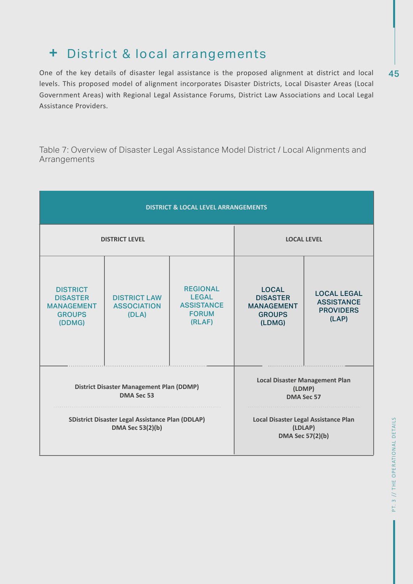### District & local arrangements

45 One of the key details of disaster legal assistance is the proposed alignment at district and local levels. This proposed model of alignment incorporates Disaster Districts, Local Disaster Areas (Local Government Areas) with Regional Legal Assistance Forums, District Law Associations and Local Legal Assistance Providers.

Table 7: Overview of Disaster Legal Assistance Model District / Local Alignments and Arrangements

| <b>DISTRICT &amp; LOCAL LEVEL ARRANGEMENTS</b>                                     |                                                    |                                                                                |                                                                                 |                                                                      |
|------------------------------------------------------------------------------------|----------------------------------------------------|--------------------------------------------------------------------------------|---------------------------------------------------------------------------------|----------------------------------------------------------------------|
| <b>DISTRICT LEVEL</b>                                                              |                                                    |                                                                                |                                                                                 | <b>LOCAL LEVEL</b>                                                   |
| <b>DISTRICT</b><br><b>DISASTER</b><br><b>MANAGEMENT</b><br><b>GROUPS</b><br>(DDMG) | <b>DISTRICT LAW</b><br><b>ASSOCIATION</b><br>(DLA) | <b>REGIONAL</b><br><b>LEGAL</b><br><b>ASSISTANCE</b><br><b>FORUM</b><br>(RLAF) | <b>LOCAL</b><br><b>DISASTER</b><br><b>MANAGEMENT</b><br><b>GROUPS</b><br>(LDMG) | <b>LOCAL LEGAL</b><br><b>ASSISTANCE</b><br><b>PROVIDERS</b><br>(LAP) |
| <b>District Disaster Management Plan (DDMP)</b><br>DMA Sec 53                      |                                                    |                                                                                | <b>Local Disaster Management Plan</b><br>DMA Sec 57                             | (LDMP)                                                               |
| <b>SDistrict Disaster Legal Assistance Plan (DDLAP)</b><br><b>DMA Sec 53(2)(b)</b> |                                                    |                                                                                | Local Disaster Legal Assistance Plan<br>(LDLAP)<br><b>DMA Sec 57(2)(b)</b>      |                                                                      |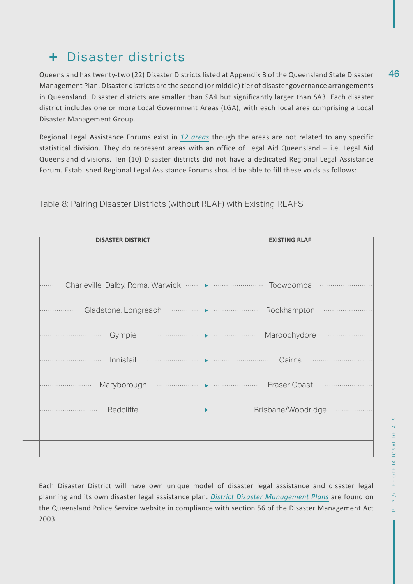### Disaster districts

46 Queensland has twenty-two (22) Disaster Districts listed at Appendix B of the Queensland State Disaster Management Plan. Disaster districts are the second (or middle) tier of disaster governance arrangements in Queensland. Disaster districts are smaller than SA4 but significantly larger than SA3. Each disaster district includes one or more Local Government Areas (LGA), with each local area comprising a Local Disaster Management Group.

Regional Legal Assistance Forums exist in *12 areas* though the areas are not related to any specific statistical division. They do represent areas with an office of Legal Aid Queensland – i.e. Legal Aid Queensland divisions. Ten (10) Disaster districts did not have a dedicated Regional Legal Assistance Forum. Established Regional Legal Assistance Forums should be able to fill these voids as follows:

| <b>DISASTER DISTRICT</b>                                                                                                                                                                                                                                                                                                                                                                      | <b>EXISTING RLAF</b>                                                                                                                                                                                                                                                                                                                                                                       |
|-----------------------------------------------------------------------------------------------------------------------------------------------------------------------------------------------------------------------------------------------------------------------------------------------------------------------------------------------------------------------------------------------|--------------------------------------------------------------------------------------------------------------------------------------------------------------------------------------------------------------------------------------------------------------------------------------------------------------------------------------------------------------------------------------------|
|                                                                                                                                                                                                                                                                                                                                                                                               |                                                                                                                                                                                                                                                                                                                                                                                            |
|                                                                                                                                                                                                                                                                                                                                                                                               | .                                                                                                                                                                                                                                                                                                                                                                                          |
| .                                                                                                                                                                                                                                                                                                                                                                                             | .                                                                                                                                                                                                                                                                                                                                                                                          |
|                                                                                                                                                                                                                                                                                                                                                                                               |                                                                                                                                                                                                                                                                                                                                                                                            |
| Innisfail                                                                                                                                                                                                                                                                                                                                                                                     | $\begin{picture}(10,10) \put(0,0){\vector(1,0){10}} \put(0,0){\vector(1,0){10}} \put(0,0){\vector(1,0){10}} \put(0,0){\vector(1,0){10}} \put(0,0){\vector(1,0){10}} \put(0,0){\vector(1,0){10}} \put(0,0){\vector(1,0){10}} \put(0,0){\vector(1,0){10}} \put(0,0){\vector(1,0){10}} \put(0,0){\vector(1,0){10}} \put(0,0){\vector(1,0){10}} \put(0,0){\vector(1,0){10}} \put(0,$<br>Cairns |
| .                                                                                                                                                                                                                                                                                                                                                                                             | <b>Fraser Coast</b>                                                                                                                                                                                                                                                                                                                                                                        |
| $\begin{picture}(150,10) \put(0,0){\vector(1,0){10}} \put(0,0){\vector(1,0){10}} \put(0,0){\vector(1,0){10}} \put(0,0){\vector(1,0){10}} \put(0,0){\vector(1,0){10}} \put(0,0){\vector(1,0){10}} \put(0,0){\vector(1,0){10}} \put(0,0){\vector(1,0){10}} \put(0,0){\vector(1,0){10}} \put(0,0){\vector(1,0){10}} \put(0,0){\vector(1,0){10}} \put(0,0){\vector(1,0){10}} \put(0$<br>Redcliffe | Brisbane/Woodridge                                                                                                                                                                                                                                                                                                                                                                         |
|                                                                                                                                                                                                                                                                                                                                                                                               |                                                                                                                                                                                                                                                                                                                                                                                            |
|                                                                                                                                                                                                                                                                                                                                                                                               |                                                                                                                                                                                                                                                                                                                                                                                            |

Table 8: Pairing Disaster Districts (without RLAF) with Existing RLAFS

Each Disaster District will have own unique model of disaster legal assistance and disaster legal planning and its own disaster legal assistance plan. *District Disaster Management Plans* are found on the Queensland Police Service website in compliance with section 56 of the Disaster Management Act 2003.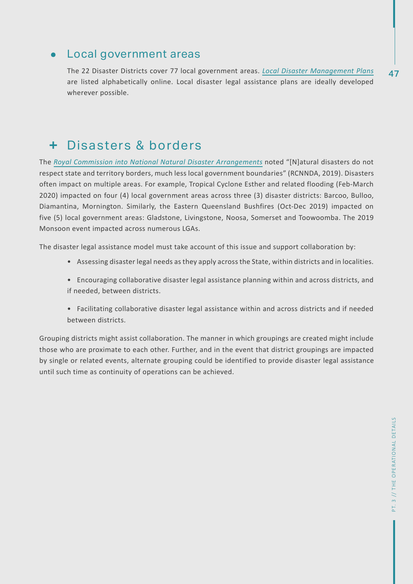### Local government areas

The 22 Disaster Districts cover 77 local government areas. *Local Disaster Management Plans* are listed alphabetically online. Local disaster legal assistance plans are ideally developed wherever possible.

### Disasters & borders

The *Royal Commission into National Natural Disaster Arrangements* noted "[N]atural disasters do not respect state and territory borders, much less local government boundaries" (RCNNDA, 2019). Disasters often impact on multiple areas. For example, Tropical Cyclone Esther and related flooding (Feb-March 2020) impacted on four (4) local government areas across three (3) disaster districts: Barcoo, Bulloo, Diamantina, Mornington. Similarly, the Eastern Queensland Bushfires (Oct-Dec 2019) impacted on five (5) local government areas: Gladstone, Livingstone, Noosa, Somerset and Toowoomba. The 2019 Monsoon event impacted across numerous LGAs.

The disaster legal assistance model must take account of this issue and support collaboration by:

- Assessing disaster legal needs as they apply across the State, within districts and in localities.
- Encouraging collaborative disaster legal assistance planning within and across districts, and if needed, between districts.
- Facilitating collaborative disaster legal assistance within and across districts and if needed between districts.

Grouping districts might assist collaboration. The manner in which groupings are created might include those who are proximate to each other. Further, and in the event that district groupings are impacted by single or related events, alternate grouping could be identified to provide disaster legal assistance until such time as continuity of operations can be achieved.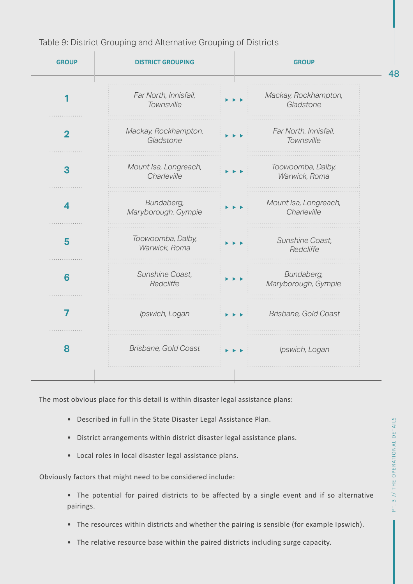

Table 9: District Grouping and Alternative Grouping of Districts

The most obvious place for this detail is within disaster legal assistance plans:

- Described in full in the State Disaster Legal Assistance Plan.
- District arrangements within district disaster legal assistance plans.
- Local roles in local disaster legal assistance plans.

Obviously factors that might need to be considered include:

• The potential for paired districts to be affected by a single event and if so alternative pairings.

- The resources within districts and whether the pairing is sensible (for example Ipswich).
- The relative resource base within the paired districts including surge capacity.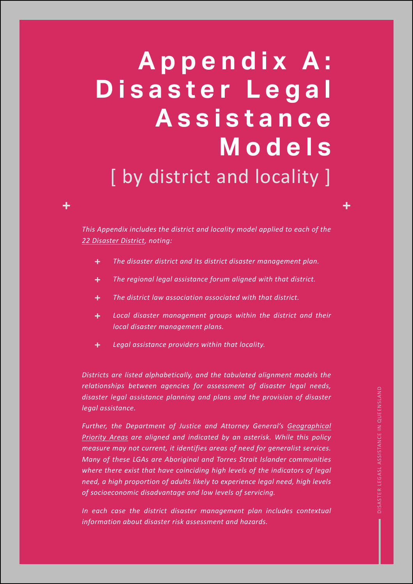# **A p p e n d i x A :**  D i s a s t e r L e g a l **A s s i s t a n c e Models** [ by district and locality ]

*This Appendix includes the district and locality model applied to each of the 22 Disaster District, noting:*

- *The disaster district and its district disaster management plan.*  $+$  .
- *The regional legal assistance forum aligned with that district.*  $+$
- $+$  . *The district law association associated with that district.*
- *Local disaster management groups within the district and their*   $+$  . *local disaster management plans.*
- ÷. *Legal assistance providers within that locality.*

*Districts are listed alphabetically, and the tabulated alignment models the relationships between agencies for assessment of disaster legal needs, disaster legal assistance planning and plans and the provision of disaster legal assistance.*

*Further, the Department of Justice and Attorney General's Geographical Priority Areas are aligned and indicated by an asterisk. While this policy measure may not current, it identifies areas of need for generalist services. Many of these LGAs are Aboriginal and Torres Strait Islander communities where there exist that have coinciding high levels of the indicators of legal need, a high proportion of adults likely to experience legal need, high levels of socioeconomic disadvantage and low levels of servicing.*

*In each case the district disaster management plan includes contextual information about disaster risk assessment and hazards.*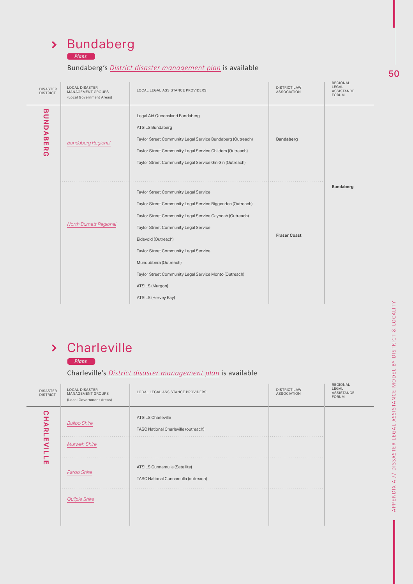| <b>Bundaberg</b><br>$\sum$ |  |
|----------------------------|--|
|----------------------------|--|

*Plans*

### Bundaberg's *District disaster management plan* is available

| <b>DISASTER</b><br><b>DISTRICT</b> | <b>LOCAL DISASTER</b><br>MANAGEMENT GROUPS<br>(Local Government Areas) | LOCAL LEGAL ASSISTANCE PROVIDERS                                                                                                                                                                                                                                                                                                                                                                      | <b>DISTRICT LAW</b><br><b>ASSOCIATION</b> | REGIONAL<br>LEGAL<br>ASSISTANCE<br><b>FORUM</b> |
|------------------------------------|------------------------------------------------------------------------|-------------------------------------------------------------------------------------------------------------------------------------------------------------------------------------------------------------------------------------------------------------------------------------------------------------------------------------------------------------------------------------------------------|-------------------------------------------|-------------------------------------------------|
| <b>BUNDABE</b><br>R<br>G           | <b>Bundaberg Regional</b>                                              | Legal Aid Queensland Bundaberg<br><b>ATSILS Bundaberg</b><br>Taylor Street Community Legal Service Bundaberg (Outreach)<br>Taylor Street Community Legal Service Childers (Outreach)<br>Taylor Street Community Legal Service Gin Gin (Outreach)                                                                                                                                                      | <b>Bundaberg</b>                          |                                                 |
|                                    | <b>North Burnett Regional</b>                                          | Taylor Street Community Legal Service<br>Taylor Street Community Legal Service Biggenden (Outreach)<br>Taylor Street Community Legal Service Gayndah (Outreach)<br>Taylor Street Community Legal Service<br>Eidsvold (Outreach)<br>Taylor Street Community Legal Service<br>Mundubbera (Outreach)<br>Taylor Street Community Legal Service Monto (Outreach)<br>ATSILS (Murgon)<br>ATSILS (Hervey Bay) | <b>Fraser Coast</b>                       | <b>Bundaberg</b>                                |

## Charleville

*Plans*

Charleville's *District disaster management plan* is available

| <b>DISASTER</b><br><b>DISTRICT</b> | <b>LOCAL DISASTER</b><br>MANAGEMENT GROUPS<br>(Local Government Areas) | LOCAL LEGAL ASSISTANCE PROVIDERS                                     | <b>DISTRICT LAW</b><br><b>ASSOCIATION</b> | REGIONAL<br>LEGAL<br><b>ASSISTANCE</b><br><b>FORUM</b> |
|------------------------------------|------------------------------------------------------------------------|----------------------------------------------------------------------|-------------------------------------------|--------------------------------------------------------|
| CHARL                              | <b>Bulloo Shire</b>                                                    | <b>ATSILS Charleville</b><br>TASC National Charleville (outreach)    |                                           |                                                        |
| m<br>$\leq$                        | <b>Murweh Shire</b>                                                    |                                                                      |                                           |                                                        |
| ш                                  | Paroo Shire                                                            | ATSILS Cunnamulla (Satellite)<br>TASC National Cunnamulla (outreach) | .                                         |                                                        |
|                                    | <b>Quilpie Shire</b>                                                   |                                                                      |                                           |                                                        |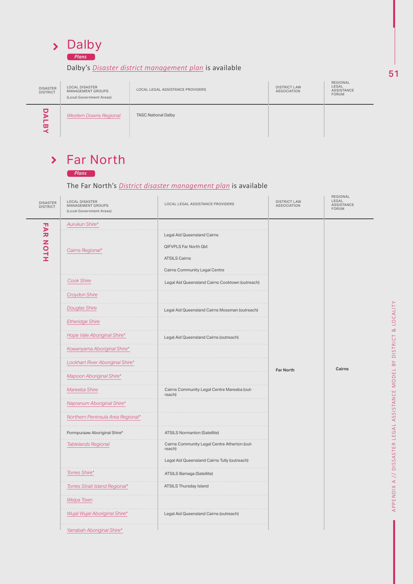

### Dalby's *Disaster district management plan* is available

| <b>DISASTER</b><br><b>DISTRICT</b> | <b>LOCAL DISASTER</b><br>MANAGEMENT GROUPS<br>(Local Government Areas) | LOCAL LEGAL ASSISTANCE PROVIDERS | <b>DISTRICT LAW</b><br><b>ASSOCIATION</b> | REGIONAL<br>LEGAL<br>ASSISTANCE<br><b>FORUM</b> |
|------------------------------------|------------------------------------------------------------------------|----------------------------------|-------------------------------------------|-------------------------------------------------|
| ω                                  | <b>Western Downs Regional</b>                                          | <b>TASC National Dalby</b>       |                                           |                                                 |

# > Far North

#### The Far North's *District disaster management plan* is available

| DALBY                                                       | <b>Western Downs Regional</b>                                           | <b>TASC National Dalby</b>                                                                                           |                                           |                                          |
|-------------------------------------------------------------|-------------------------------------------------------------------------|----------------------------------------------------------------------------------------------------------------------|-------------------------------------------|------------------------------------------|
| $\blacktriangleright$<br><b>DISASTER</b><br><b>DISTRICT</b> | <b>Far North</b><br><b>Plans</b><br>LOCAL DISASTER<br>MANAGEMENT GROUPS | The Far North's District disaster management plan is available<br>LOCAL LEGAL ASSISTANCE PROVIDERS                   | <b>DISTRICT LAW</b><br><b>ASSOCIATION</b> | REGIONAL<br>LEGAL<br>ASSISTANCE<br>FORUM |
|                                                             | (Local Government Areas)                                                |                                                                                                                      |                                           |                                          |
| <b>FAR NOTH</b>                                             | Aurukun Shire*<br>Cairns Regional*                                      | Legal Aid Queensland Cairns<br><b>QIFVPLS Far North Qld</b><br><b>ATSILS Cairns</b><br>Cairns Community Legal Centre |                                           |                                          |
|                                                             | <b>Cook Shire</b><br><b>Croydon Shire</b>                               | Legal Aid Queensland Cairns Cooktown (outreach)                                                                      |                                           |                                          |
|                                                             | <b>Douglas Shire</b><br><b>Etheridge Shire</b>                          | Legal Aid Queensland Cairns Mossman (outreach)                                                                       |                                           |                                          |
|                                                             | Hope Vale Aboriginal Shire*<br>Kowanyama Aboriginal Shire*              | Legal Aid Queensland Cairns (outreach)                                                                               |                                           |                                          |
|                                                             | Lockhart River Aboriginal Shire*<br>Mapoon Aboriginal Shire*            |                                                                                                                      | <b>Far North</b>                          | Cairns                                   |
|                                                             | Mareeba Shire                                                           | Cairns Community Legal Centre Mareeba (out-<br>reach)                                                                |                                           |                                          |
|                                                             | Napranum Aboriginal Shire*                                              |                                                                                                                      |                                           |                                          |
|                                                             | Northern Peninsula Area Regional*                                       |                                                                                                                      |                                           |                                          |
|                                                             | Pormpuraaw Aboriginal Shire*                                            | ATSILS Normanton (Satellite)                                                                                         |                                           |                                          |
|                                                             | <b>Tablelands Regional</b>                                              | Cairns Community Legal Centre Atherton (out-<br>reach)<br>Legal Aid Queensland Cairns Tully (outreach)               |                                           |                                          |
|                                                             | Torres Shire*                                                           | ATSILS Bamaga (Satellite)                                                                                            |                                           |                                          |
|                                                             | Torres Strait Island Regional*                                          | ATSILS Thursday Island                                                                                               |                                           |                                          |
|                                                             | Weipa Town                                                              |                                                                                                                      |                                           |                                          |
|                                                             | Wujal Wujal Aboriginal Shire*                                           | Legal Aid Queensland Cairns (outreach)                                                                               |                                           |                                          |
|                                                             | Yarrabah Aboriginal Shire*                                              |                                                                                                                      |                                           |                                          |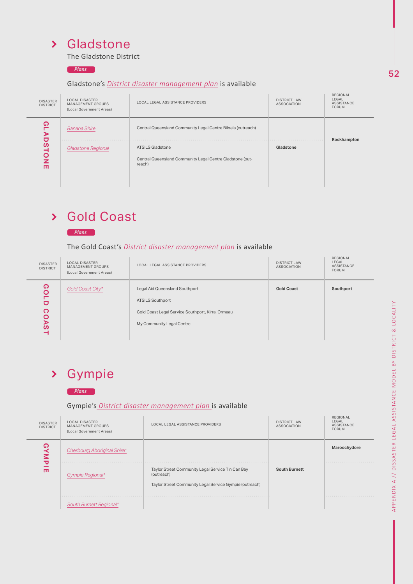### Gladstone

The Gladstone District

*Plans*

#### Gladstone's *District disaster management plan* is available

| <b>DISASTER</b><br><b>DISTRICT</b> | <b>LOCAL DISASTER</b><br><b>MANAGEMENT GROUPS</b><br>(Local Government Areas) | LOCAL LEGAL ASSISTANCE PROVIDERS                                                               | <b>DISTRICT LAW</b><br><b>ASSOCIATION</b> | REGIONAL<br>LEGAL<br><b>ASSISTANCE</b><br><b>FORUM</b> |
|------------------------------------|-------------------------------------------------------------------------------|------------------------------------------------------------------------------------------------|-------------------------------------------|--------------------------------------------------------|
| ໑<br>⋗<br>o                        | <b>Banana Shire</b>                                                           | Central Queensland Community Legal Centre Biloela (outreach)                                   |                                           | Rockhampton                                            |
| ທ<br>O<br>z<br>ш                   | <b>Gladstone Regional</b>                                                     | <b>ATSILS Gladstone</b><br>Central Queensland Community Legal Centre Gladstone (out-<br>reach) | Gladstone                                 |                                                        |

# Gold Coast



#### The Gold Coast's *District disaster management plan* is available

| <b>DISASTER</b><br><b>DISTRICT</b> | <b>LOCAL DISASTER</b><br>MANAGEMENT GROUPS<br>(Local Government Areas) | LOCAL LEGAL ASSISTANCE PROVIDERS                                                                                                            | <b>DISTRICT LAW</b><br><b>ASSOCIATION</b> | REGIONAL<br>LEGAL<br><b>ASSISTANCE</b><br><b>FORUM</b> |
|------------------------------------|------------------------------------------------------------------------|---------------------------------------------------------------------------------------------------------------------------------------------|-------------------------------------------|--------------------------------------------------------|
| ໑<br>п<br>⋗<br>ഗ                   | Gold Coast City*                                                       | Legal Aid Queensland Southport<br><b>ATSILS Southport</b><br>Gold Coast Legal Service Southport, Kirra, Ormeau<br>My Community Legal Centre | <b>Gold Coast</b>                         | Southport                                              |

## Gympie

#### *Plans*

### Gympie's *District disaster management plan* is available

| <b>GOLD</b><br><b>COAST</b>        | Gold Coast City*                                                              | Legal Aid Queensland Southport<br><b>ATSILS Southport</b><br>Gold Coast Legal Service Southport, Kirra, Ormeau<br>My Community Legal Centre | <b>Gold Coast</b>                         | Southport                                       |
|------------------------------------|-------------------------------------------------------------------------------|---------------------------------------------------------------------------------------------------------------------------------------------|-------------------------------------------|-------------------------------------------------|
| ≻                                  | Gympie<br><b>Plans</b>                                                        | Gympie's District disaster management plan is available                                                                                     |                                           |                                                 |
| <b>DISASTER</b><br><b>DISTRICT</b> | <b>LOCAL DISASTER</b><br><b>MANAGEMENT GROUPS</b><br>(Local Government Areas) | LOCAL LEGAL ASSISTANCE PROVIDERS                                                                                                            | <b>DISTRICT LAW</b><br><b>ASSOCIATION</b> | REGIONAL<br>LEGAL<br>ASSISTANCE<br><b>FORUM</b> |
| <b>GYMPIE</b>                      | Cherbourg Aboriginal Shire*<br>Gympie Regional*                               | Taylor Street Community Legal Service Tin Can Bay<br>(outreach)                                                                             | <b>South Burnett</b>                      | Maroochydore                                    |
|                                    | South Burnett Regional*                                                       | Taylor Street Community Legal Service Gympie (outreach)                                                                                     |                                           |                                                 |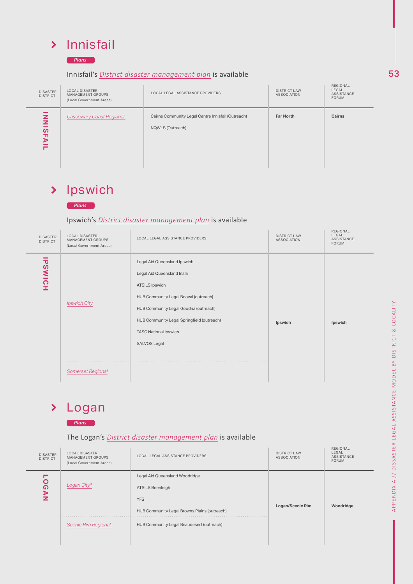## > Innisfail

*Plans*

#### Innisfail's *District disaster management plan* is available

| <b>DISASTER</b><br><b>DISTRICT</b> | <b>LOCAL DISASTER</b><br>MANAGEMENT GROUPS<br>(Local Government Areas) | LOCAL LEGAL ASSISTANCE PROVIDERS                                       | <b>DISTRICT LAW</b><br><b>ASSOCIATION</b> | REGIONAL<br>LEGAL<br>ASSISTANCE<br><b>FORUM</b> |
|------------------------------------|------------------------------------------------------------------------|------------------------------------------------------------------------|-------------------------------------------|-------------------------------------------------|
| z<br>z<br>ທ<br>m<br>চ              | <b>Cassowary Coast Regional</b>                                        | Cairns Community Legal Centre Innisfail (Outreach)<br>NQWLS (Outreach) | <b>Far North</b>                          | <b>Cairns</b>                                   |

### > Ipswich



### Ipswich's *District disaster management plan* is available

| <b>DISASTER</b><br><b>DISTRICT</b> | <b>LOCAL DISASTER</b><br>MANAGEMENT GROUPS<br>(Local Government Areas) | LOCAL LEGAL ASSISTANCE PROVIDERS                                                                                                                                                                                                                                    | <b>DISTRICT LAW</b><br><b>ASSOCIATION</b> | REGIONAL<br>LEGAL<br>ASSISTANCE<br>FORUM |
|------------------------------------|------------------------------------------------------------------------|---------------------------------------------------------------------------------------------------------------------------------------------------------------------------------------------------------------------------------------------------------------------|-------------------------------------------|------------------------------------------|
| -<br><b>PSWICH</b>                 | <b>Ipswich City</b>                                                    | Legal Aid Queensland Ipswich<br>Legal Aid Queensland Inala<br>ATSILS Ipswich<br>HUB Community Legal Booval (outreach)<br>HUB Community Legal Goodna (outreach)<br>HUB Community Legal Springfield (outreach)<br><b>TASC National Ipswich</b><br><b>SALVOS Legal</b> | Ipswich                                   | Ipswich                                  |
|                                    | <b>Somerset Regional</b>                                               |                                                                                                                                                                                                                                                                     |                                           |                                          |

#### Logan  $\blacktriangleright$

#### *Plans*

### The Logan's *District disaster management plan* is available

| <b>DISASTER</b><br><b>DISTRICT</b> | <b>LOCAL DISASTER</b><br>MANAGEMENT GROUPS<br>(Local Government Areas) | LOCAL LEGAL ASSISTANCE PROVIDERS                                                                                        | <b>DISTRICT LAW</b><br><b>ASSOCIATION</b> | <b>REGIONAL</b><br>LEGAL<br><b>ASSISTANCE</b><br><b>FORUM</b> |
|------------------------------------|------------------------------------------------------------------------|-------------------------------------------------------------------------------------------------------------------------|-------------------------------------------|---------------------------------------------------------------|
| O<br>໑<br>⋗                        | Logan City*                                                            | Legal Aid Queensland Woodridge<br><b>ATSILS Beenleigh</b><br><b>YFS</b><br>HUB Community Legal Browns Plains (outreach) | Logan/Scenic Rim                          | Woodridge                                                     |
|                                    | <b>Scenic Rim Regional</b>                                             | HUB Community Legal Beaudesert (outreach)                                                                               |                                           |                                                               |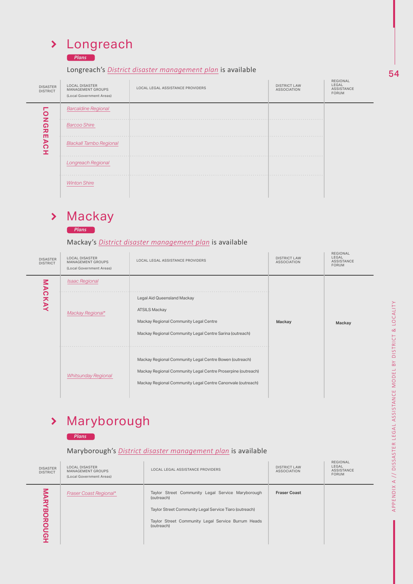### *Plans*

### Longreach's *District disaster management plan* is available

| <b>DISASTER</b><br><b>DISTRICT</b> | <b>LOCAL DISASTER</b><br>MANAGEMENT GROUPS<br>(Local Government Areas) | LOCAL LEGAL ASSISTANCE PROVIDERS | <b>DISTRICT LAW</b><br><b>ASSOCIATION</b> | REGIONAL<br>LEGAL<br>ASSISTANCE<br><b>FORUM</b> |
|------------------------------------|------------------------------------------------------------------------|----------------------------------|-------------------------------------------|-------------------------------------------------|
| O                                  | <b>Barcaldine Regional</b>                                             |                                  |                                           |                                                 |
| z<br>໑<br>刀                        | .<br><b>Barcoo Shire</b>                                               |                                  |                                           |                                                 |
| т<br>⋗<br>റ                        | <b>Blackall Tambo Regional</b>                                         |                                  |                                           |                                                 |
|                                    | <b>Longreach Regional</b>                                              |                                  |                                           |                                                 |
|                                    | <b>Winton Shire</b>                                                    |                                  |                                           |                                                 |

# > Mackay

*Plans*

Mackay's *District disaster management plan* is available

| <b>DISASTER</b><br><b>DISTRICT</b> | <b>LOCAL DISASTER</b><br>MANAGEMENT GROUPS<br>(Local Government Areas) | LOCAL LEGAL ASSISTANCE PROVIDERS                                                                                                                                                       | <b>DISTRICT LAW</b><br><b>ASSOCIATION</b> | REGIONAL<br>LEGAL<br><b>ASSISTANCE</b><br><b>FORUM</b> |
|------------------------------------|------------------------------------------------------------------------|----------------------------------------------------------------------------------------------------------------------------------------------------------------------------------------|-------------------------------------------|--------------------------------------------------------|
|                                    | <b>Isaac Regional</b>                                                  |                                                                                                                                                                                        |                                           |                                                        |
| MACKAY                             | Mackay Regional*                                                       | Legal Aid Queensland Mackay<br><b>ATSILS Mackay</b><br>Mackay Regional Community Legal Centre<br>Mackay Regional Community Legal Centre Sarina (outreach)                              | Mackay                                    | Mackay                                                 |
|                                    | <b>Whitsunday Regional</b>                                             | Mackay Regional Community Legal Centre Bowen (outreach)<br>Mackay Regional Community Legal Centre Proserpine (outreach)<br>Mackay Regional Community Legal Centre Canonvale (outreach) |                                           |                                                        |

# Maryborough

*Plans*

Maryborough's *District disaster management plan* is available

| <b>DISASTER</b><br><b>DISTRICT</b> | <b>LOCAL DISASTER</b><br>MANAGEMENT GROUPS<br>(Local Government Areas) | LOCAL LEGAL ASSISTANCE PROVIDERS                                                                                                                                                              | <b>DISTRICT LAW</b><br><b>ASSOCIATION</b> | REGIONAL<br>LEGAL<br><b>ASSISTANCE</b><br><b>FORUM</b> |
|------------------------------------|------------------------------------------------------------------------|-----------------------------------------------------------------------------------------------------------------------------------------------------------------------------------------------|-------------------------------------------|--------------------------------------------------------|
| <b>NRY</b><br><b>BORO</b><br>ດ     | <b>Fraser Coast Regional*</b>                                          | Taylor Street Community Legal Service Maryborough<br>(outreach)<br>Taylor Street Community Legal Service Tiaro (outreach)<br>Taylor Street Community Legal Service Burrum Heads<br>(outreach) | <b>Fraser Coast</b>                       |                                                        |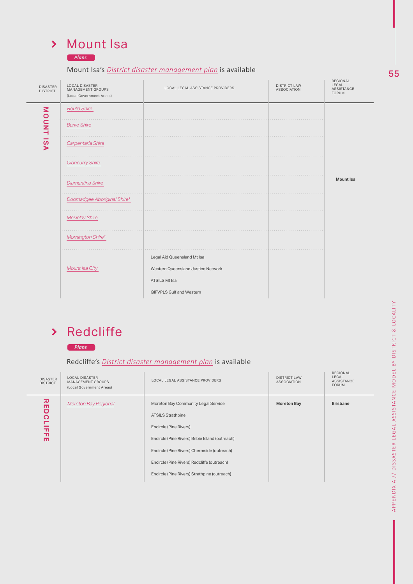### Mount Isa

#### *Plans*

### Mount Isa's *District disaster management plan* is available

| <b>DISASTER</b><br><b>DISTRICT</b> | <b>LOCAL DISASTER</b><br>MANAGEMENT GROUPS<br>(Local Government Areas) | LOCAL LEGAL ASSISTANCE PROVIDERS   | <b>DISTRICT LAW</b><br><b>ASSOCIATION</b> | REGIONAL<br>LEGAL<br>ASSISTANCE<br>FORUM |
|------------------------------------|------------------------------------------------------------------------|------------------------------------|-------------------------------------------|------------------------------------------|
|                                    | <b>Boulia Shire</b>                                                    |                                    |                                           |                                          |
| <b>MOUNT ISA</b>                   | <b>Burke Shire</b>                                                     |                                    |                                           |                                          |
|                                    | Carpentaria Shire                                                      |                                    |                                           |                                          |
|                                    | <b>Cloncurry Shire</b>                                                 |                                    |                                           |                                          |
|                                    | Diamantina Shire                                                       |                                    |                                           | <b>Mount Isa</b>                         |
|                                    | Doomadgee Aboriginal Shire*                                            |                                    |                                           |                                          |
|                                    | <b>Mckinlay Shire</b>                                                  |                                    |                                           |                                          |
|                                    | Mornington Shire*                                                      |                                    |                                           |                                          |
|                                    |                                                                        | Legal Aid Queensland Mt Isa        |                                           |                                          |
|                                    | Mount Isa City                                                         | Western Queensland Justice Network |                                           |                                          |
|                                    |                                                                        | ATSILS Mt Isa                      |                                           |                                          |
|                                    |                                                                        | QIFVPLS Gulf and Western           |                                           |                                          |

# > Redcliffe



### Redcliffe's *District disaster management plan* is available

| <b>DISASTER</b><br><b>DISTRICT</b>         | <b>LOCAL DISASTER</b><br>MANAGEMENT GROUPS<br>(Local Government Areas) | LOCAL LEGAL ASSISTANCE PROVIDERS                                                                                                                                                                                                           | <b>DISTRICT LAW</b><br><b>ASSOCIATION</b> | REGIONAL<br>LEGAL<br><b>ASSISTANCE</b><br><b>FORUM</b> |
|--------------------------------------------|------------------------------------------------------------------------|--------------------------------------------------------------------------------------------------------------------------------------------------------------------------------------------------------------------------------------------|-------------------------------------------|--------------------------------------------------------|
| 꼮<br>U<br>ဂ<br>┍<br>듞<br>$\mathbf{u}$<br>m | <b>Moreton Bay Regional</b>                                            | Moreton Bay Community Legal Service<br><b>ATSILS Strathpine</b><br>Encircle (Pine Rivers)<br>Encircle (Pine Rivers) Bribie Island (outreach)<br>Encircle (Pine Rivers) Chermside (outreach)<br>Encircle (Pine Rivers) Redcliffe (outreach) | <b>Moreton Bay</b>                        | <b>Brisbane</b>                                        |
|                                            |                                                                        | Encircle (Pine Rivers) Strathpine (outreach)                                                                                                                                                                                               |                                           |                                                        |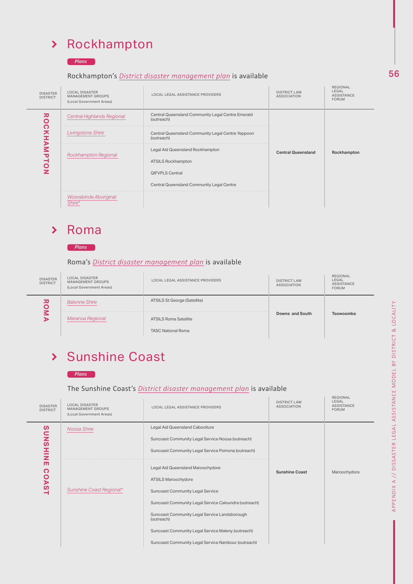### Rockhampton

*Plans*

#### Rockhampton's *District disaster management plan* is available

| <b>DISASTER</b><br><b>DISTRICT</b>    | <b>LOCAL DISASTER</b><br>MANAGEMENT GROUPS<br>(Local Government Areas) | LOCAL LEGAL ASSISTANCE PROVIDERS                                | <b>DISTRICT LAW</b><br><b>ASSOCIATION</b> | <b>REGIONAL</b><br>LEGAL<br>ASSISTANCE<br><b>FORUM</b> |
|---------------------------------------|------------------------------------------------------------------------|-----------------------------------------------------------------|-------------------------------------------|--------------------------------------------------------|
| ᄁ<br>O<br>౧<br>ᄎ<br>⋗<br>Μ<br>᠊ᠣ<br>⊣ | <b>Central Highlands Regional</b>                                      | Central Queensland Community Legal Centre Emerald<br>(outreach) |                                           |                                                        |
|                                       | <b>Livingstone Shire</b>                                               | Central Queensland Community Legal Centre Yeppoon<br>(outreach) |                                           |                                                        |
|                                       | <b>Rockhampton Regional</b>                                            | Legal Aid Queensland Rockhampton                                | <b>Central Queensland</b>                 | Rockhampton                                            |
|                                       |                                                                        | <b>ATSILS Rockhampton</b>                                       |                                           |                                                        |
|                                       |                                                                        | <b>QIFVPLS Central</b>                                          |                                           |                                                        |
|                                       |                                                                        | Central Queensland Community Legal Centre                       |                                           |                                                        |
|                                       | Woorabinda Aboriginal<br>Shire*                                        |                                                                 |                                           |                                                        |

#### Roma  $\blacktriangleright$



#### Roma's *District disaster management plan* is available

| <b>DISASTER</b><br><b>DISTRICT</b> | <b>LOCAL DISASTER</b><br>MANAGEMENT GROUPS<br>(Local Government Areas) | LOCAL LEGAL ASSISTANCE PROVIDERS    | <b>DISTRICT LAW</b><br><b>ASSOCIATION</b> | REGIONAL<br>LEGAL<br><b>ASSISTANCE</b><br><b>FORUM</b> |
|------------------------------------|------------------------------------------------------------------------|-------------------------------------|-------------------------------------------|--------------------------------------------------------|
| IJ                                 | <b>Balonne Shire</b>                                                   | <b>ATSILS St George (Satellite)</b> |                                           |                                                        |
|                                    | Maranoa Regional                                                       | <b>ATSILS Roma Satellite</b>        | Downs and South                           | Toowoomba                                              |
|                                    |                                                                        | <b>TASC National Roma</b>           |                                           |                                                        |

т

# Sunshine Coast



#### The Sunshine Coast's *District disaster management plan* is available

| <b>DISASTER</b><br><b>DISTRICT</b> | <b>LOCAL DISASTER</b><br><b>MANAGEMENT GROUPS</b><br>(Local Government Areas) | LOCAL LEGAL ASSISTANCE PROVIDERS                                                                                                                                                                                                                                                                                                         | <b>DISTRICT LAW</b><br><b>ASSOCIATION</b> | 11221211772<br>LEGAL<br><b>ASSISTANCE</b><br><b>FORUM</b> |
|------------------------------------|-------------------------------------------------------------------------------|------------------------------------------------------------------------------------------------------------------------------------------------------------------------------------------------------------------------------------------------------------------------------------------------------------------------------------------|-------------------------------------------|-----------------------------------------------------------|
| NIHSNOS                            | Noosa Shire                                                                   | Legal Aid Queensland Caboolture<br>Suncoast Community Legal Service Noosa (outreach)<br>Suncoast Community Legal Service Pomona (outreach)                                                                                                                                                                                               |                                           |                                                           |
| m<br>ဂ<br><b>OAST</b>              | Sunshine Coast Regional*                                                      | Legal Aid Queensland Maroochydore<br>ATSILS Maroochydore<br><b>Suncoast Community Legal Service</b><br>Suncoast Community Legal Service Caloundra (outreach)<br>Suncoast Community Legal Service Landsborough<br>(outreach)<br>Suncoast Community Legal Service Maleny (outreach)<br>Suncoast Community Legal Service Nambour (outreach) | <b>Sunshine Coast</b>                     | Maroochydore                                              |

REGIONAL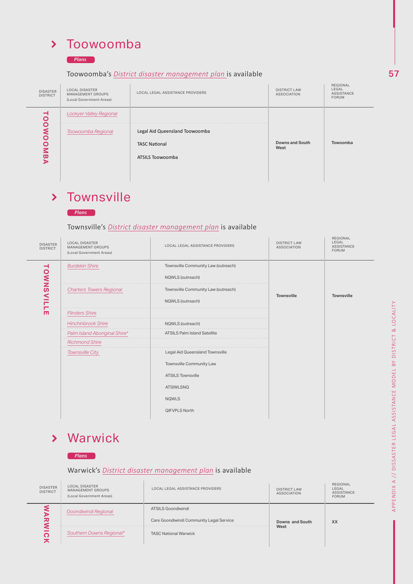## > Toowoomba

#### *Plans*

#### Toowoomba's *District disaster management plan* is available

| <b>DISASTER</b><br><b>DISTRICT</b> | <b>LOCAL DISASTER</b><br>MANAGEMENT GROUPS<br>(Local Government Areas) | LOCAL LEGAL ASSISTANCE PROVIDERS                                           | <b>DISTRICT LAW</b><br><b>ASSOCIATION</b> | REGIONAL<br>LEGAL<br>ASSISTANCE<br><b>FORUM</b> |
|------------------------------------|------------------------------------------------------------------------|----------------------------------------------------------------------------|-------------------------------------------|-------------------------------------------------|
| $\overline{\mathbf{o}}$            | <b>Lockyer Valley Regional</b>                                         |                                                                            |                                           |                                                 |
| $\circ$<br>Š<br>$\circ$<br>Μ<br>ω  | Toowoomba Regional                                                     | Legal Aid Queensland Toowoomba<br><b>TASC National</b><br>ATSILS Toowoomba | <b>Downs and South</b><br>West            | Towoomba                                        |

#### **Townsville**  $\blacktriangleright$

#### *Plans*

### Townsville's *District disaster management plan* is available

| <b>DISASTER</b><br><b>DISTRICT</b> | <b>LOCAL DISASTER</b><br>MANAGEMENT GROUPS<br>(Local Government Areas) | LOCAL LEGAL ASSISTANCE PROVIDERS    | <b>DISTRICT LAW</b><br><b>ASSOCIATION</b> | <b>REGIONAL</b><br>LEGAL<br><b>ASSISTANCE</b><br>FORUM |
|------------------------------------|------------------------------------------------------------------------|-------------------------------------|-------------------------------------------|--------------------------------------------------------|
|                                    | <b>Burdekin Shire</b>                                                  | Townsville Community Law (outreach) |                                           |                                                        |
| TOWNSVIL                           |                                                                        | NQWLS (outreach)                    |                                           |                                                        |
|                                    | <b>Charters Towers Regional</b>                                        | Townsville Community Law (outreach) | <b>Townsville</b>                         | <b>Townsville</b>                                      |
|                                    |                                                                        | NQWLS (outreach)                    |                                           |                                                        |
| -<br>m                             | <b>Flinders Shire</b>                                                  |                                     |                                           |                                                        |
|                                    | <b>Hinchinbrook Shire</b>                                              | NQWLS (outreach)<br>1.1.1.1         |                                           |                                                        |
|                                    | Palm Island Aboriginal Shire*                                          | <b>ATSILS Palm Island Satellite</b> |                                           |                                                        |
|                                    | <b>Richmond Shire</b>                                                  |                                     |                                           |                                                        |
|                                    | <b>Townsville City</b>                                                 | Legal Aid Queensland Townsville     |                                           |                                                        |
|                                    |                                                                        | Townsville Community Law            |                                           |                                                        |
|                                    |                                                                        | <b>ATSILS Townsville</b>            |                                           |                                                        |
|                                    |                                                                        | <b>ATSIWLSNQ</b>                    |                                           |                                                        |
|                                    |                                                                        | <b>NQWLS</b>                        |                                           |                                                        |
|                                    |                                                                        | <b>QIFVPLS North</b>                |                                           |                                                        |
|                                    |                                                                        |                                     |                                           |                                                        |

### Warwick

#### *Plans*

### Warwick's *District disaster management plan* is available

| <b>DISASTER</b><br><b>DISTRICT</b> | <b>LOCAL DISASTER</b><br>MANAGEMENT GROUPS<br>(Local Government Areas) | LOCAL LEGAL ASSISTANCE PROVIDERS         | <b>DISTRICT LAW</b><br><b>ASSOCIATION</b> | <b>REGIONAL</b><br>LEGAL<br><b>ASSISTANCE</b><br><b>FORUM</b> |
|------------------------------------|------------------------------------------------------------------------|------------------------------------------|-------------------------------------------|---------------------------------------------------------------|
|                                    | Goondiwindi Regional                                                   | <b>ATSILS Goondiwindi</b>                |                                           |                                                               |
| ᄁ                                  |                                                                        | Care Goondiwindi Community Legal Service | Downs and South                           | <b>XX</b>                                                     |
|                                    | Southern Downs Regional*                                               | <b>TASC National Warwick</b>             | West                                      |                                                               |

57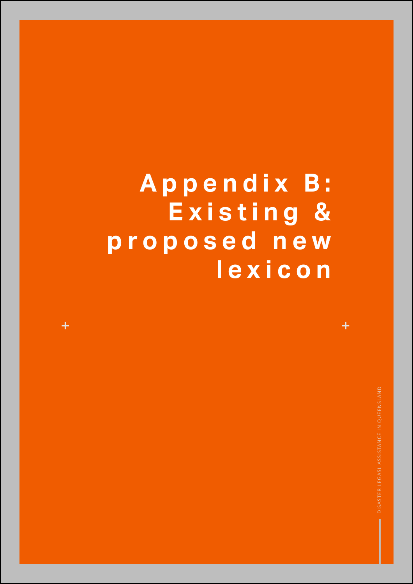# **A p p e n d i x B : E x i s t i n g & p r o p o s e d n e w lexicon**

 $\ddot{\phantom{1}}$ 

 $\ddot{\textbf{r}}$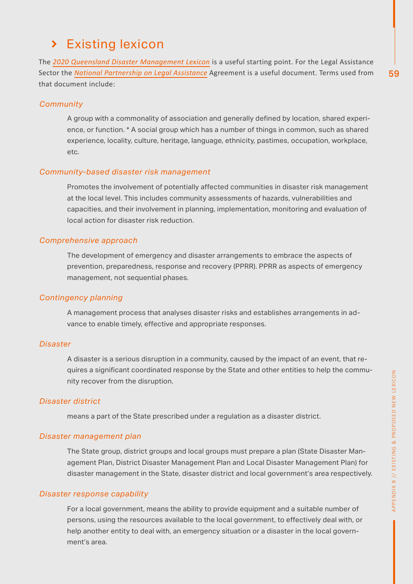59

# > Existing lexicon

The *2020 Queensland Disaster Management Lexicon* is a useful starting point. For the Legal Assistance Sector the *National Partnership on Legal Assistance* Agreement is a useful document. Terms used from that document include:

### *Community*

A group with a commonality of association and generally defined by location, shared experience, or function. \* A social group which has a number of things in common, such as shared experience, locality, culture, heritage, language, ethnicity, pastimes, occupation, workplace, etc.

### *Community-based disaster risk management*

Promotes the involvement of potentially affected communities in disaster risk management at the local level. This includes community assessments of hazards, vulnerabilities and capacities, and their involvement in planning, implementation, monitoring and evaluation of local action for disaster risk reduction.

### *Comprehensive approach*

The development of emergency and disaster arrangements to embrace the aspects of prevention, preparedness, response and recovery (PPRR). PPRR as aspects of emergency management, not sequential phases.

### *Contingency planning*

A management process that analyses disaster risks and establishes arrangements in advance to enable timely, effective and appropriate responses.

### *Disaster*

A disaster is a serious disruption in a community, caused by the impact of an event, that requires a significant coordinated response by the State and other entities to help the community recover from the disruption.

### *Disaster district*

means a part of the State prescribed under a regulation as a disaster district.

### *Disaster management plan*

The State group, district groups and local groups must prepare a plan (State Disaster Management Plan, District Disaster Management Plan and Local Disaster Management Plan) for disaster management in the State, disaster district and local government's area respectively.

### *Disaster response capability*

For a local government, means the ability to provide equipment and a suitable number of persons, using the resources available to the local government, to effectively deal with, or help another entity to deal with, an emergency situation or a disaster in the local government's area.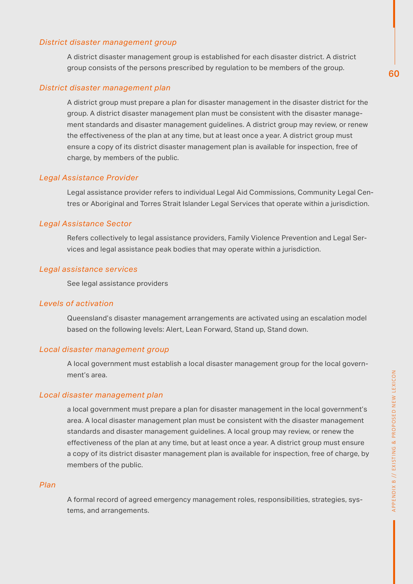#### *District disaster management group*

A district disaster management group is established for each disaster district. A district group consists of the persons prescribed by regulation to be members of the group.

#### *District disaster management plan*

A district group must prepare a plan for disaster management in the disaster district for the group. A district disaster management plan must be consistent with the disaster management standards and disaster management guidelines. A district group may review, or renew the effectiveness of the plan at any time, but at least once a year. A district group must ensure a copy of its district disaster management plan is available for inspection, free of charge, by members of the public.

### *Legal Assistance Provider*

Legal assistance provider refers to individual Legal Aid Commissions, Community Legal Centres or Aboriginal and Torres Strait Islander Legal Services that operate within a jurisdiction.

### *Legal Assistance Sector*

Refers collectively to legal assistance providers, Family Violence Prevention and Legal Services and legal assistance peak bodies that may operate within a jurisdiction.

### *Legal assistance services*

See legal assistance providers

### *Levels of activation*

Queensland's disaster management arrangements are activated using an escalation model based on the following levels: Alert, Lean Forward, Stand up, Stand down.

### *Local disaster management group*

A local government must establish a local disaster management group for the local government's area.

### *Local disaster management plan*

a local government must prepare a plan for disaster management in the local government's area. A local disaster management plan must be consistent with the disaster management standards and disaster management guidelines. A local group may review, or renew the effectiveness of the plan at any time, but at least once a year. A district group must ensure a copy of its district disaster management plan is available for inspection, free of charge, by members of the public.

#### *Plan*

A formal record of agreed emergency management roles, responsibilities, strategies, systems, and arrangements.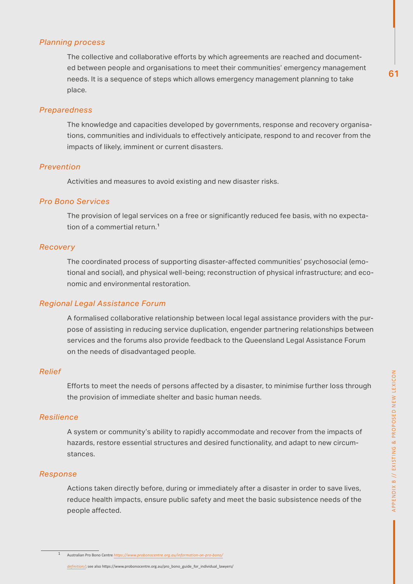#### *Planning process*

The collective and collaborative efforts by which agreements are reached and documented between people and organisations to meet their communities' emergency management needs. It is a sequence of steps which allows emergency management planning to take place.

#### *Preparedness*

The knowledge and capacities developed by governments, response and recovery organisations, communities and individuals to effectively anticipate, respond to and recover from the impacts of likely, imminent or current disasters.

#### *Prevention*

Activities and measures to avoid existing and new disaster risks.

#### *Pro Bono Services*

The provision of legal services on a free or significantly reduced fee basis, with no expectation of a commertial return.<sup>1</sup>

#### *Recovery*

The coordinated process of supporting disaster-affected communities' psychosocial (emotional and social), and physical well-being; reconstruction of physical infrastructure; and economic and environmental restoration.

#### *Regional Legal Assistance Forum*

A formalised collaborative relationship between local legal assistance providers with the purpose of assisting in reducing service duplication, engender partnering relationships between services and the forums also provide feedback to the Queensland Legal Assistance Forum on the needs of disadvantaged people.

#### *Relief*

Efforts to meet the needs of persons affected by a disaster, to minimise further loss through the provision of immediate shelter and basic human needs.

#### *Resilience*

A system or community's ability to rapidly accommodate and recover from the impacts of hazards, restore essential structures and desired functionality, and adapt to new circumstances.

#### *Response*

Actions taken directly before, during or immediately after a disaster in order to save lives, reduce health impacts, ensure public safety and meet the basic subsistence needs of the people affected.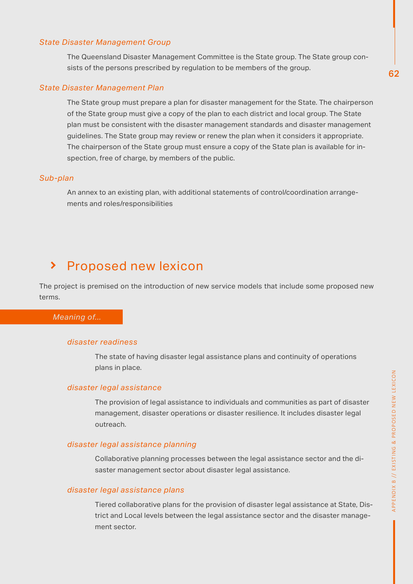#### *State Disaster Management Group*

The Queensland Disaster Management Committee is the State group. The State group consists of the persons prescribed by regulation to be members of the group.

#### *State Disaster Management Plan*

The State group must prepare a plan for disaster management for the State. The chairperson of the State group must give a copy of the plan to each district and local group. The State plan must be consistent with the disaster management standards and disaster management guidelines. The State group may review or renew the plan when it considers it appropriate. The chairperson of the State group must ensure a copy of the State plan is available for inspection, free of charge, by members of the public.

#### *Sub-plan*

An annex to an existing plan, with additional statements of control/coordination arrangements and roles/responsibilities

#### Proposed new lexicon  $\blacktriangleright$

The project is premised on the introduction of new service models that include some proposed new terms.

#### *Meaning of...*

#### *disaster readiness*

The state of having disaster legal assistance plans and continuity of operations plans in place.

#### *disaster legal assistance*

The provision of legal assistance to individuals and communities as part of disaster management, disaster operations or disaster resilience. It includes disaster legal outreach.

#### *disaster legal assistance planning*

Collaborative planning processes between the legal assistance sector and the disaster management sector about disaster legal assistance.

#### *disaster legal assistance plans*

Tiered collaborative plans for the provision of disaster legal assistance at State, District and Local levels between the legal assistance sector and the disaster management sector.